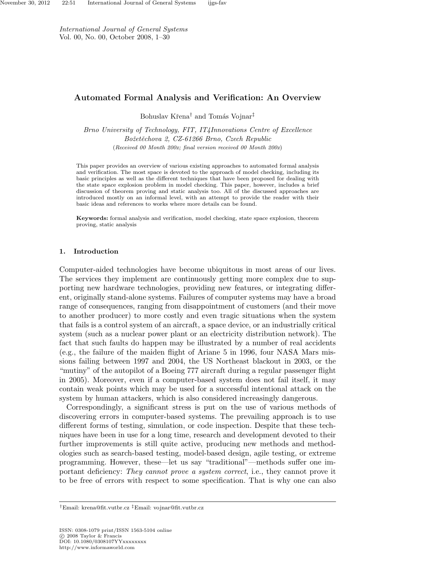International Journal of General Systems Vol. 00, No. 00, October 2008, 1–30

# Automated Formal Analysis and Verification: An Overview

Bohuslav Křena<sup>†</sup> and Tomás Vojnar<sup>‡</sup>

Brno University of Technology, FIT, IT4Innovations Centre of Excellence Božetěchova 2, CZ-61266 Brno, Czech Republic (Received 00 Month 200x; final version received 00 Month 200x)

This paper provides an overview of various existing approaches to automated formal analysis and verification. The most space is devoted to the approach of model checking, including its basic principles as well as the different techniques that have been proposed for dealing with the state space explosion problem in model checking. This paper, however, includes a brief discussion of theorem proving and static analysis too. All of the discussed approaches are introduced mostly on an informal level, with an attempt to provide the reader with their basic ideas and references to works where more details can be found.

Keywords: formal analysis and verification, model checking, state space explosion, theorem proving, static analysis

# 1. Introduction

Computer-aided technologies have become ubiquitous in most areas of our lives. The services they implement are continuously getting more complex due to supporting new hardware technologies, providing new features, or integrating different, originally stand-alone systems. Failures of computer systems may have a broad range of consequences, ranging from disappointment of customers (and their move to another producer) to more costly and even tragic situations when the system that fails is a control system of an aircraft, a space device, or an industrially critical system (such as a nuclear power plant or an electricity distribution network). The fact that such faults do happen may be illustrated by a number of real accidents (e.g., the failure of the maiden flight of Ariane 5 in 1996, four NASA Mars missions failing between 1997 and 2004, the US Northeast blackout in 2003, or the "mutiny" of the autopilot of a Boeing 777 aircraft during a regular passenger flight in 2005). Moreover, even if a computer-based system does not fail itself, it may contain weak points which may be used for a successful intentional attack on the system by human attackers, which is also considered increasingly dangerous.

Correspondingly, a significant stress is put on the use of various methods of discovering errors in computer-based systems. The prevailing approach is to use different forms of testing, simulation, or code inspection. Despite that these techniques have been in use for a long time, research and development devoted to their further improvements is still quite active, producing new methods and methodologies such as search-based testing, model-based design, agile testing, or extreme programming. However, these—let us say "traditional"—methods suffer one important deficiency: They cannot prove a system correct, i.e., they cannot prove it to be free of errors with respect to some specification. That is why one can also

<sup>†</sup>Email: krena@fit.vutbr.cz ‡Email: vojnar@fit.vutbr.cz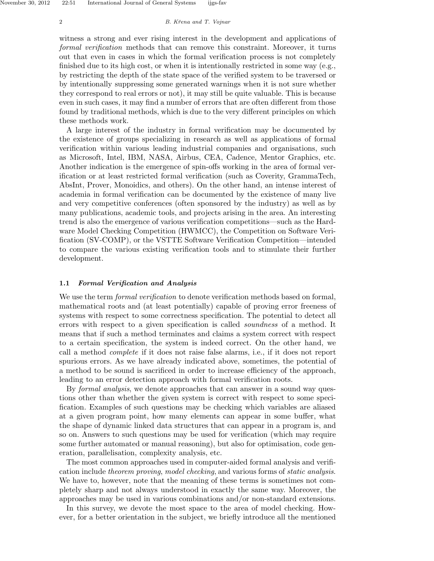witness a strong and ever rising interest in the development and applications of formal verification methods that can remove this constraint. Moreover, it turns out that even in cases in which the formal verification process is not completely finished due to its high cost, or when it is intentionally restricted in some way (e.g., by restricting the depth of the state space of the verified system to be traversed or by intentionally suppressing some generated warnings when it is not sure whether they correspond to real errors or not), it may still be quite valuable. This is because even in such cases, it may find a number of errors that are often different from those found by traditional methods, which is due to the very different principles on which these methods work.

A large interest of the industry in formal verification may be documented by the existence of groups specializing in research as well as applications of formal verification within various leading industrial companies and organisations, such as Microsoft, Intel, IBM, NASA, Airbus, CEA, Cadence, Mentor Graphics, etc. Another indication is the emergence of spin-offs working in the area of formal verification or at least restricted formal verification (such as Coverity, GrammaTech, AbsInt, Prover, Monoidics, and others). On the other hand, an intense interest of academia in formal verification can be documented by the existence of many live and very competitive conferences (often sponsored by the industry) as well as by many publications, academic tools, and projects arising in the area. An interesting trend is also the emergence of various verification competitions—such as the Hardware Model Checking Competition (HWMCC), the Competition on Software Verification (SV-COMP), or the VSTTE Software Verification Competition—intended to compare the various existing verification tools and to stimulate their further development.

### 1.1 Formal Verification and Analysis

We use the term *formal verification* to denote verification methods based on formal, mathematical roots and (at least potentially) capable of proving error freeness of systems with respect to some correctness specification. The potential to detect all errors with respect to a given specification is called soundness of a method. It means that if such a method terminates and claims a system correct with respect to a certain specification, the system is indeed correct. On the other hand, we call a method complete if it does not raise false alarms, i.e., if it does not report spurious errors. As we have already indicated above, sometimes, the potential of a method to be sound is sacrificed in order to increase efficiency of the approach, leading to an error detection approach with formal verification roots.

By formal analysis, we denote approaches that can answer in a sound way questions other than whether the given system is correct with respect to some specification. Examples of such questions may be checking which variables are aliased at a given program point, how many elements can appear in some buffer, what the shape of dynamic linked data structures that can appear in a program is, and so on. Answers to such questions may be used for verification (which may require some further automated or manual reasoning), but also for optimisation, code generation, parallelisation, complexity analysis, etc.

The most common approaches used in computer-aided formal analysis and verification include theorem proving, model checking, and various forms of static analysis. We have to, however, note that the meaning of these terms is sometimes not completely sharp and not always understood in exactly the same way. Moreover, the approaches may be used in various combinations and/or non-standard extensions.

In this survey, we devote the most space to the area of model checking. However, for a better orientation in the subject, we briefly introduce all the mentioned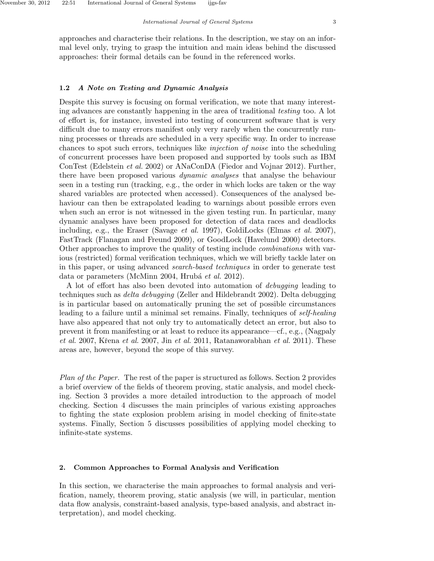approaches and characterise their relations. In the description, we stay on an informal level only, trying to grasp the intuition and main ideas behind the discussed approaches: their formal details can be found in the referenced works.

# 1.2 A Note on Testing and Dynamic Analysis

Despite this survey is focusing on formal verification, we note that many interesting advances are constantly happening in the area of traditional testing too. A lot of effort is, for instance, invested into testing of concurrent software that is very difficult due to many errors manifest only very rarely when the concurrently running processes or threads are scheduled in a very specific way. In order to increase chances to spot such errors, techniques like injection of noise into the scheduling of concurrent processes have been proposed and supported by tools such as IBM ConTest (Edelstein et al. 2002) or ANaConDA (Fiedor and Vojnar 2012). Further, there have been proposed various dynamic analyses that analyse the behaviour seen in a testing run (tracking, e.g., the order in which locks are taken or the way shared variables are protected when accessed). Consequences of the analysed behaviour can then be extrapolated leading to warnings about possible errors even when such an error is not witnessed in the given testing run. In particular, many dynamic analyses have been proposed for detection of data races and deadlocks including, e.g., the Eraser (Savage et al. 1997), GoldiLocks (Elmas et al. 2007), FastTrack (Flanagan and Freund 2009), or GoodLock (Havelund 2000) detectors. Other approaches to improve the quality of testing include combinations with various (restricted) formal verification techniques, which we will briefly tackle later on in this paper, or using advanced search-based techniques in order to generate test data or parameters (McMinn 2004, Hrubá et al. 2012).

A lot of effort has also been devoted into automation of debugging leading to techniques such as delta debugging (Zeller and Hildebrandt 2002). Delta debugging is in particular based on automatically pruning the set of possible circumstances leading to a failure until a minimal set remains. Finally, techniques of self-healing have also appeared that not only try to automatically detect an error, but also to prevent it from manifesting or at least to reduce its appearance—cf., e.g., (Nagpaly et al. 2007, Křena et al. 2007, Jin et al. 2011, Ratanaworabhan et al. 2011). These areas are, however, beyond the scope of this survey.

Plan of the Paper. The rest of the paper is structured as follows. Section 2 provides a brief overview of the fields of theorem proving, static analysis, and model checking. Section 3 provides a more detailed introduction to the approach of model checking. Section 4 discusses the main principles of various existing approaches to fighting the state explosion problem arising in model checking of finite-state systems. Finally, Section 5 discusses possibilities of applying model checking to infinite-state systems.

## 2. Common Approaches to Formal Analysis and Verification

In this section, we characterise the main approaches to formal analysis and verification, namely, theorem proving, static analysis (we will, in particular, mention data flow analysis, constraint-based analysis, type-based analysis, and abstract interpretation), and model checking.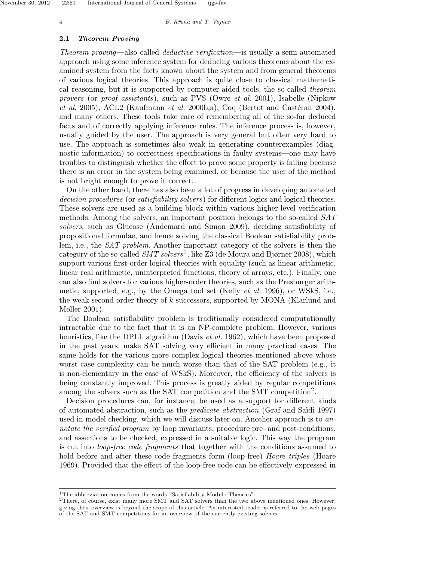## 2.1 Theorem Proving

Theorem proving—also called deductive verification—is usually a semi-automated approach using some inference system for deducing various theorems about the examined system from the facts known about the system and from general theorems of various logical theories. This approach is quite close to classical mathematical reasoning, but it is supported by computer-aided tools, the so-called theorem provers (or proof assistants), such as PVS (Owre et al. 2001), Isabelle (Nipkow  $et \ al.$  2005), ACL2 (Kaufmann  $et \ al.$  2000b,a), Coq (Bertot and Castéran 2004), and many others. These tools take care of remembering all of the so-far deduced facts and of correctly applying inference rules. The inference process is, however, usually guided by the user. The approach is very general but often very hard to use. The approach is sometimes also weak in generating counterexamples (diagnostic information) to correctness specifications in faulty systems—one may have troubles to distinguish whether the effort to prove some property is failing because there is an error in the system being examined, or because the user of the method is not bright enough to prove it correct.

On the other hand, there has also been a lot of progress in developing automated decision procedures (or satisfiability solvers) for different logics and logical theories. These solvers are used as a building block within various higher-level verification methods. Among the solvers, an important position belongs to the so-called SAT solvers, such as Glucose (Audemard and Simon 2009), deciding satisfiability of propositional formulae, and hence solving the classical Boolean satisfiability problem, i.e., the SAT problem. Another important category of the solvers is then the category of the so-called  $SMT$  solvers<sup>1</sup>, like Z3 (de Moura and Bjørner 2008), which support various first-order logical theories with equality (such as linear arithmetic, linear real arithmetic, uninterpreted functions, theory of arrays, etc.). Finally, one can also find solvers for various higher-order theories, such as the Presburger arithmetic, supported, e.g., by the Omega tool set (Kelly *et al.* 1996), or WSkS, i.e., the weak second order theory of k successors, supported by MONA (Klarlund and Møller 2001).

The Boolean satisfiability problem is traditionally considered computationally intractable due to the fact that it is an NP-complete problem. However, various heuristics, like the DPLL algorithm (Davis *et al.* 1962), which have been proposed in the past years, make SAT solving very efficient in many practical cases. The same holds for the various more complex logical theories mentioned above whose worst case complexity can be much worse than that of the SAT problem (e.g., it is non-elementary in the case of WSkS). Moreover, the efficiency of the solvers is being constantly improved. This process is greatly aided by regular competitions among the solvers such as the SAT competition and the SMT competition<sup>2</sup>.

Decision procedures can, for instance, be used as a support for different kinds of automated abstraction, such as the *predicate abstraction* (Graf and Saïdi 1997) used in model checking, which we will discuss later on. Another approach is to annotate the verified program by loop invariants, procedure pre- and post-conditions, and assertions to be checked, expressed in a suitable logic. This way the program is cut into loop-free code fragments that together with the conditions assumed to hold before and after these code fragments form (loop-free) *Hoare triples* (Hoare 1969). Provided that the effect of the loop-free code can be effectively expressed in

<sup>&</sup>lt;sup>1</sup>The abbreviation comes from the words "Satisfiability Modulo Theories".

<sup>2</sup>There, of course, exist many more SMT and SAT solvers than the two above mentioned ones. However, giving their overview is beyond the scope of this article. An interested reader is referred to the web pages of the SAT and SMT competitions for an overview of the currently existing solvers.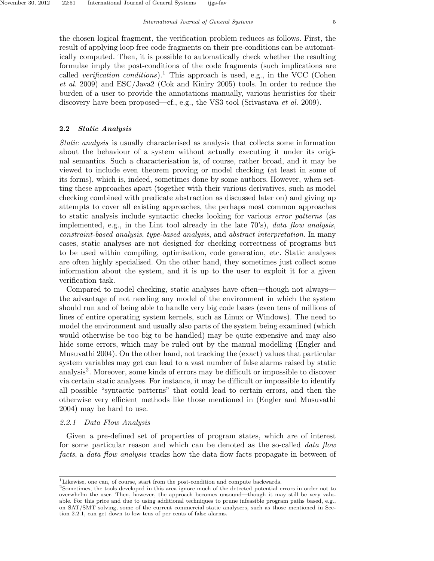the chosen logical fragment, the verification problem reduces as follows. First, the result of applying loop free code fragments on their pre-conditions can be automatically computed. Then, it is possible to automatically check whether the resulting formulae imply the post-conditions of the code fragments (such implications are called verification conditions).<sup>1</sup> This approach is used, e.g., in the VCC (Cohen et al. 2009) and ESC/Java2 (Cok and Kiniry 2005) tools. In order to reduce the burden of a user to provide the annotations manually, various heuristics for their discovery have been proposed—cf., e.g., the VS3 tool (Srivastava *et al.* 2009).

# 2.2 Static Analysis

Static analysis is usually characterised as analysis that collects some information about the behaviour of a system without actually executing it under its original semantics. Such a characterisation is, of course, rather broad, and it may be viewed to include even theorem proving or model checking (at least in some of its forms), which is, indeed, sometimes done by some authors. However, when setting these approaches apart (together with their various derivatives, such as model checking combined with predicate abstraction as discussed later on) and giving up attempts to cover all existing approaches, the perhaps most common approaches to static analysis include syntactic checks looking for various error patterns (as implemented, e.g., in the Lint tool already in the late  $70\text{'s}$ , data flow analysis, constraint-based analysis, type-based analysis, and abstract interpretation. In many cases, static analyses are not designed for checking correctness of programs but to be used within compiling, optimisation, code generation, etc. Static analyses are often highly specialised. On the other hand, they sometimes just collect some information about the system, and it is up to the user to exploit it for a given verification task.

Compared to model checking, static analyses have often—though not always the advantage of not needing any model of the environment in which the system should run and of being able to handle very big code bases (even tens of millions of lines of entire operating system kernels, such as Linux or Windows). The need to model the environment and usually also parts of the system being examined (which would otherwise be too big to be handled) may be quite expensive and may also hide some errors, which may be ruled out by the manual modelling (Engler and Musuvathi 2004). On the other hand, not tracking the (exact) values that particular system variables may get can lead to a vast number of false alarms raised by static analysis<sup>2</sup>. Moreover, some kinds of errors may be difficult or impossible to discover via certain static analyses. For instance, it may be difficult or impossible to identify all possible "syntactic patterns" that could lead to certain errors, and then the otherwise very efficient methods like those mentioned in (Engler and Musuvathi 2004) may be hard to use.

# 2.2.1 Data Flow Analysis

Given a pre-defined set of properties of program states, which are of interest for some particular reason and which can be denoted as the so-called data flow facts, a data flow analysis tracks how the data flow facts propagate in between of

 $^1$  Likewise, one can, of course, start from the post-condition and compute backwards.

<sup>2</sup>Sometimes, the tools developed in this area ignore much of the detected potential errors in order not to overwhelm the user. Then, however, the approach becomes unsound—though it may still be very valuable. For this price and due to using additional techniques to prune infeasible program paths based, e.g., on SAT/SMT solving, some of the current commercial static analysers, such as those mentioned in Section 2.2.1, can get down to low tens of per cents of false alarms.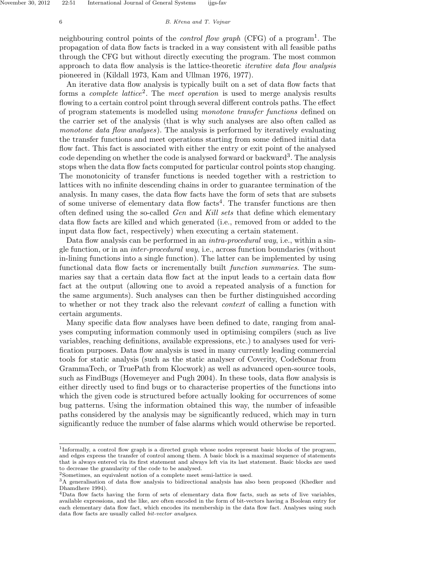neighbouring control points of the *control flow graph* (CFG) of a program<sup>1</sup>. The propagation of data flow facts is tracked in a way consistent with all feasible paths through the CFG but without directly executing the program. The most common approach to data flow analysis is the lattice-theoretic iterative data flow analysis pioneered in (Kildall 1973, Kam and Ullman 1976, 1977).

An iterative data flow analysis is typically built on a set of data flow facts that forms a *complete lattice*<sup>2</sup>. The *meet operation* is used to merge analysis results flowing to a certain control point through several different controls paths. The effect of program statements is modelled using monotone transfer functions defined on the carrier set of the analysis (that is why such analyses are also often called as monotone data flow analyses). The analysis is performed by iteratively evaluating the transfer functions and meet operations starting from some defined initial data flow fact. This fact is associated with either the entry or exit point of the analysed code depending on whether the code is analysed forward or backward<sup>3</sup>. The analysis stops when the data flow facts computed for particular control points stop changing. The monotonicity of transfer functions is needed together with a restriction to lattices with no infinite descending chains in order to guarantee termination of the analysis. In many cases, the data flow facts have the form of sets that are subsets of some universe of elementary data flow facts<sup>4</sup>. The transfer functions are then often defined using the so-called Gen and Kill sets that define which elementary data flow facts are killed and which generated (i.e., removed from or added to the input data flow fact, respectively) when executing a certain statement.

Data flow analysis can be performed in an *intra-procedural way*, i.e., within a single function, or in an inter-procedural way, i.e., across function boundaries (without in-lining functions into a single function). The latter can be implemented by using functional data flow facts or incrementally built function summaries. The summaries say that a certain data flow fact at the input leads to a certain data flow fact at the output (allowing one to avoid a repeated analysis of a function for the same arguments). Such analyses can then be further distinguished according to whether or not they track also the relevant context of calling a function with certain arguments.

Many specific data flow analyses have been defined to date, ranging from analyses computing information commonly used in optimising compilers (such as live variables, reaching definitions, available expressions, etc.) to analyses used for verification purposes. Data flow analysis is used in many currently leading commercial tools for static analysis (such as the static analyser of Coverity, CodeSonar from GrammaTech, or TruePath from Klocwork) as well as advanced open-source tools, such as FindBugs (Hovemeyer and Pugh 2004). In these tools, data flow analysis is either directly used to find bugs or to characterise properties of the functions into which the given code is structured before actually looking for occurrences of some bug patterns. Using the information obtained this way, the number of infeasible paths considered by the analysis may be significantly reduced, which may in turn significantly reduce the number of false alarms which would otherwise be reported.

<sup>1</sup> Informally, a control flow graph is a directed graph whose nodes represent basic blocks of the program, and edges express the transfer of control among them. A basic block is a maximal sequence of statements that is always entered via its first statement and always left via its last statement. Basic blocks are used to decrease the granularity of the code to be analysed.

<sup>2</sup>Sometimes, an equivalent notion of a complete meet semi-lattice is used.

<sup>3</sup>A generalisation of data flow analysis to bidirectional analysis has also been proposed (Khedker and Dhamdhere 1994).

<sup>4</sup>Data flow facts having the form of sets of elementary data flow facts, such as sets of live variables, available expressions, and the like, are often encoded in the form of bit-vectors having a Boolean entry for each elementary data flow fact, which encodes its membership in the data flow fact. Analyses using such data flow facts are usually called bit-vector analyses.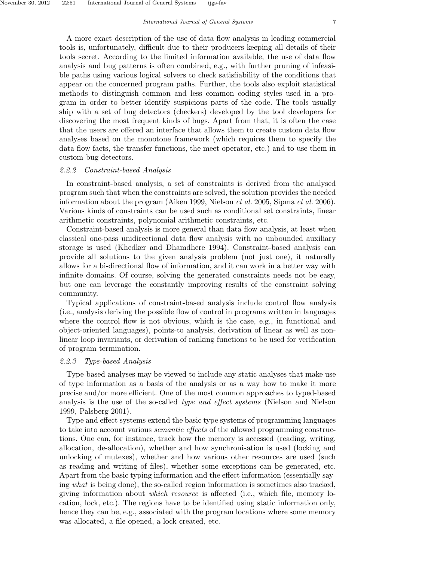#### International Journal of General Systems 7

A more exact description of the use of data flow analysis in leading commercial tools is, unfortunately, difficult due to their producers keeping all details of their tools secret. According to the limited information available, the use of data flow analysis and bug patterns is often combined, e.g., with further pruning of infeasible paths using various logical solvers to check satisfiability of the conditions that appear on the concerned program paths. Further, the tools also exploit statistical methods to distinguish common and less common coding styles used in a program in order to better identify suspicious parts of the code. The tools usually ship with a set of bug detectors (checkers) developed by the tool developers for discovering the most frequent kinds of bugs. Apart from that, it is often the case that the users are offered an interface that allows them to create custom data flow analyses based on the monotone framework (which requires them to specify the data flow facts, the transfer functions, the meet operator, etc.) and to use them in custom bug detectors.

## 2.2.2 Constraint-based Analysis

In constraint-based analysis, a set of constraints is derived from the analysed program such that when the constraints are solved, the solution provides the needed information about the program (Aiken 1999, Nielson et al. 2005, Sipma et al. 2006). Various kinds of constraints can be used such as conditional set constraints, linear arithmetic constraints, polynomial arithmetic constraints, etc.

Constraint-based analysis is more general than data flow analysis, at least when classical one-pass unidirectional data flow analysis with no unbounded auxiliary storage is used (Khedker and Dhamdhere 1994). Constraint-based analysis can provide all solutions to the given analysis problem (not just one), it naturally allows for a bi-directional flow of information, and it can work in a better way with infinite domains. Of course, solving the generated constraints needs not be easy, but one can leverage the constantly improving results of the constraint solving community.

Typical applications of constraint-based analysis include control flow analysis (i.e., analysis deriving the possible flow of control in programs written in languages where the control flow is not obvious, which is the case, e.g., in functional and object-oriented languages), points-to analysis, derivation of linear as well as nonlinear loop invariants, or derivation of ranking functions to be used for verification of program termination.

## 2.2.3 Type-based Analysis

Type-based analyses may be viewed to include any static analyses that make use of type information as a basis of the analysis or as a way how to make it more precise and/or more efficient. One of the most common approaches to typed-based analysis is the use of the so-called type and effect systems (Nielson and Nielson 1999, Palsberg 2001).

Type and effect systems extend the basic type systems of programming languages to take into account various semantic effects of the allowed programming constructions. One can, for instance, track how the memory is accessed (reading, writing, allocation, de-allocation), whether and how synchronisation is used (locking and unlocking of mutexes), whether and how various other resources are used (such as reading and writing of files), whether some exceptions can be generated, etc. Apart from the basic typing information and the effect information (essentially saying what is being done), the so-called region information is sometimes also tracked, giving information about which resource is affected (i.e., which file, memory location, lock, etc.). The regions have to be identified using static information only, hence they can be, e.g., associated with the program locations where some memory was allocated, a file opened, a lock created, etc.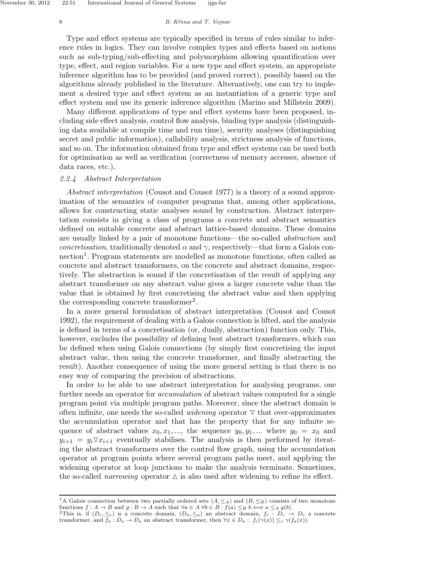Type and effect systems are typically specified in terms of rules similar to inference rules in logics. They can involve complex types and effects based on notions such as sub-typing/sub-effecting and polymorphism allowing quantification over type, effect, and region variables. For a new type and effect system, an appropriate inference algorithm has to be provided (and proved correct), possibly based on the algorithms already published in the literature. Alternatively, one can try to implement a desired type and effect system as an instantiation of a generic type and effect system and use its generic inference algorithm (Marino and Millstein 2009).

Many different applications of type and effect systems have been proposed, including side effect analysis, control flow analysis, binding type analysis (distinguishing data available at compile time and run time), security analyses (distinguishing secret and public information), callability analysis, strictness analysis of functions, and so on. The information obtained from type and effect systems can be used both for optimisation as well as verification (correctness of memory accesses, absence of data races, etc.).

### 2.2.4 Abstract Interpretation

Abstract interpretation (Cousot and Cousot 1977) is a theory of a sound approximation of the semantics of computer programs that, among other applications, allows for constructing static analyses sound by construction. Abstract interpretation consists in giving a class of programs a concrete and abstract semantics defined on suitable concrete and abstract lattice-based domains. These domains are usually linked by a pair of monotone functions—the so-called abstraction and concretisation, traditionally denoted  $\alpha$  and  $\gamma$ , respectively—that form a Galois connection<sup>1</sup>. Program statements are modelled as monotone functions, often called as concrete and abstract transformers, on the concrete and abstract domains, respectively. The abstraction is sound if the concretisation of the result of applying any abstract transformer on any abstract value gives a larger concrete value than the value that is obtained by first concretising the abstract value and then applying the corresponding concrete transformer<sup>2</sup>.

In a more general formulation of abstract interpretation (Cousot and Cousot 1992), the requirement of dealing with a Galois connection is lifted, and the analysis is defined in terms of a concretisation (or, dually, abstraction) function only. This, however, excludes the possibility of defining best abstract transformers, which can be defined when using Galois connections (by simply first concretising the input abstract value, then using the concrete transformer, and finally abstracting the result). Another consequence of using the more general setting is that there is no easy way of comparing the precision of abstractions.

In order to be able to use abstract interpretation for analysing programs, one further needs an operator for *accumulation* of abstract values computed for a single program point via multiple program paths. Moreover, since the abstract domain is often infinite, one needs the so-called *widening* operator  $\nabla$  that over-approximates the accumulation operator and that has the property that for any infinite sequence of abstract values  $x_0, x_1, ...,$  the sequence  $y_0, y_1, ...$  where  $y_0 = x_0$  and  $y_{i+1} = y_i \nabla x_{i+1}$  eventually stabilises. The analysis is then performed by iterating the abstract transformers over the control flow graph, using the accumulation operator at program points where several program paths meet, and applying the widening operator at loop junctions to make the analysis terminate. Sometimes, the so-called *narrowing* operator  $\Delta$  is also used after widening to refine its effect.

<sup>&</sup>lt;sup>1</sup>A Galois connection between two partially ordered sets  $(A, \leq_A)$  and  $(B, \leq_B)$  consists of two monotone functions  $f: A \to B$  and  $g: B \to A$  such that  $\forall a \in A \ \forall b \in B : f(a) \leq_B b \Longleftrightarrow a \leq_A g(b)$ .

<sup>&</sup>lt;sup>2</sup>This is, if  $(D_c, \leq_c)$  is a concrete domain,  $(D_a, \leq_a)$  an abstract domain,  $f_c : D_c \to D_c$  a concrete transformer, and  $f_a: D_a \to D_a$  an abstract transformer, then  $\forall x \in D_a: f_c(\gamma(x)) \leq_c \gamma(f_a(x))$ .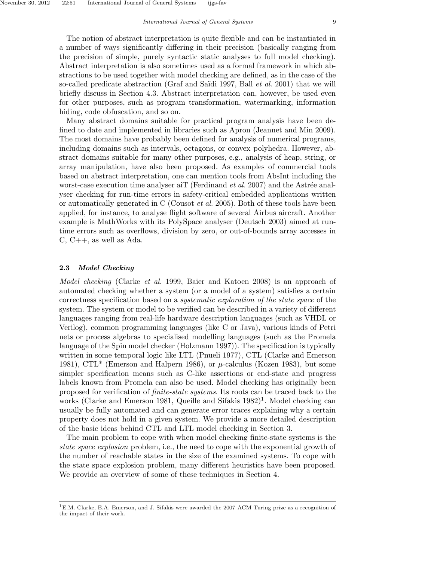The notion of abstract interpretation is quite flexible and can be instantiated in a number of ways significantly differing in their precision (basically ranging from the precision of simple, purely syntactic static analyses to full model checking). Abstract interpretation is also sometimes used as a formal framework in which abstractions to be used together with model checking are defined, as in the case of the so-called predicate abstraction (Graf and Saïdi 1997, Ball *et al.* 2001) that we will briefly discuss in Section 4.3. Abstract interpretation can, however, be used even for other purposes, such as program transformation, watermarking, information hiding, code obfuscation, and so on.

Many abstract domains suitable for practical program analysis have been defined to date and implemented in libraries such as Apron (Jeannet and Min 2009). The most domains have probably been defined for analysis of numerical programs, including domains such as intervals, octagons, or convex polyhedra. However, abstract domains suitable for many other purposes, e.g., analysis of heap, string, or array manipulation, have also been proposed. As examples of commercial tools based on abstract interpretation, one can mention tools from AbsInt including the worst-case execution time analyser aiT (Ferdinand *et al.* 2007) and the Astrée analyser checking for run-time errors in safety-critical embedded applications written or automatically generated in C (Cousot *et al.* 2005). Both of these tools have been applied, for instance, to analyse flight software of several Airbus aircraft. Another example is MathWorks with its PolySpace analyser (Deutsch 2003) aimed at runtime errors such as overflows, division by zero, or out-of-bounds array accesses in C, C++, as well as Ada.

## 2.3 Model Checking

Model checking (Clarke et al. 1999, Baier and Katoen 2008) is an approach of automated checking whether a system (or a model of a system) satisfies a certain correctness specification based on a systematic exploration of the state space of the system. The system or model to be verified can be described in a variety of different languages ranging from real-life hardware description languages (such as VHDL or Verilog), common programming languages (like C or Java), various kinds of Petri nets or process algebras to specialised modelling languages (such as the Promela language of the Spin model checker (Holzmann 1997)). The specification is typically written in some temporal logic like LTL (Pnueli 1977), CTL (Clarke and Emerson 1981), CTL<sup>\*</sup> (Emerson and Halpern 1986), or  $\mu$ -calculus (Kozen 1983), but some simpler specification means such as C-like assertions or end-state and progress labels known from Promela can also be used. Model checking has originally been proposed for verification of finite-state systems. Its roots can be traced back to the works (Clarke and Emerson 1981, Queille and Sifakis  $1982$ <sup> $1$ </sup>. Model checking can usually be fully automated and can generate error traces explaining why a certain property does not hold in a given system. We provide a more detailed description of the basic ideas behind CTL and LTL model checking in Section 3.

The main problem to cope with when model checking finite-state systems is the state space explosion problem, i.e., the need to cope with the exponential growth of the number of reachable states in the size of the examined systems. To cope with the state space explosion problem, many different heuristics have been proposed. We provide an overview of some of these techniques in Section 4.

<sup>&</sup>lt;sup>1</sup>E.M. Clarke, E.A. Emerson, and J. Sifakis were awarded the 2007 ACM Turing prize as a recognition of the impact of their work.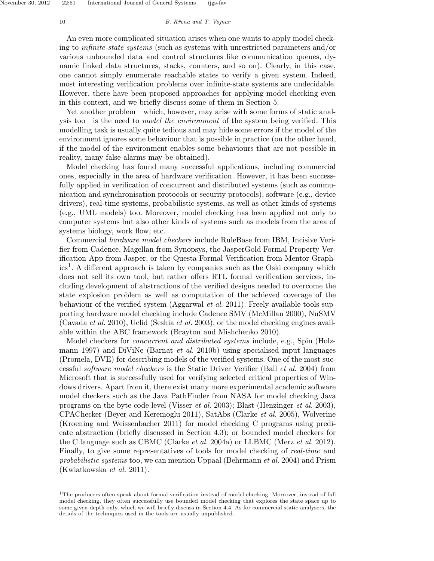An even more complicated situation arises when one wants to apply model checking to infinite-state systems (such as systems with unrestricted parameters and/or various unbounded data and control structures like communication queues, dynamic linked data structures, stacks, counters, and so on). Clearly, in this case, one cannot simply enumerate reachable states to verify a given system. Indeed, most interesting verification problems over infinite-state systems are undecidable. However, there have been proposed approaches for applying model checking even in this context, and we briefly discuss some of them in Section 5.

Yet another problem—which, however, may arise with some forms of static analysis too—is the need to model the environment of the system being verified. This modelling task is usually quite tedious and may hide some errors if the model of the environment ignores some behaviour that is possible in practice (on the other hand, if the model of the environment enables some behaviours that are not possible in reality, many false alarms may be obtained).

Model checking has found many successful applications, including commercial ones, especially in the area of hardware verification. However, it has been successfully applied in verification of concurrent and distributed systems (such as communication and synchronisation protocols or security protocols), software (e.g., device drivers), real-time systems, probabilistic systems, as well as other kinds of systems (e.g., UML models) too. Moreover, model checking has been applied not only to computer systems but also other kinds of systems such as models from the area of systems biology, work flow, etc.

Commercial hardware model checkers include RuleBase from IBM, Incisive Verifier from Cadence, Magellan from Synopsys, the JasperGold Formal Property Verification App from Jasper, or the Questa Formal Verification from Mentor Graphics<sup>1</sup> . A different approach is taken by companies such as the Oski company which does not sell its own tool, but rather offers RTL formal verification services, including development of abstractions of the verified designs needed to overcome the state explosion problem as well as computation of the achieved coverage of the behaviour of the verified system (Aggarwal et al. 2011). Freely available tools supporting hardware model checking include Cadence SMV (McMillan 2000), NuSMV (Cavada et al. 2010), Uclid (Seshia et al. 2003), or the model checking engines available within the ABC framework (Brayton and Mishchenko 2010).

Model checkers for *concurrent and distributed systems* include, e.g., Spin (Holzmann 1997) and DiViNe (Barnat et al. 2010b) using specialised input languages (Promela, DVE) for describing models of the verified systems. One of the most successful software model checkers is the Static Driver Verifier (Ball et al. 2004) from Microsoft that is successfully used for verifying selected critical properties of Windows drivers. Apart from it, there exist many more experimental academic software model checkers such as the Java PathFinder from NASA for model checking Java programs on the byte code level (Visser et al. 2003); Blast (Henzinger et al. 2003), CPAChecker (Beyer and Keremoglu 2011), SatAbs (Clarke et al. 2005), Wolverine (Kroening and Weissenbacher 2011) for model checking C programs using predicate abstraction (briefly discussed in Section 4.3); or bounded model checkers for the C language such as CBMC (Clarke et al. 2004a) or LLBMC (Merz et al. 2012). Finally, to give some representatives of tools for model checking of real-time and probabilistic systems too, we can mention Uppaal (Behrmann et al. 2004) and Prism (Kwiatkowska et al. 2011).

<sup>&</sup>lt;sup>1</sup>The producers often speak about formal verification instead of model checking. Moreover, instead of full model checking, they often successfully use bounded model checking that explores the state space up to some given depth only, which we will briefly discuss in Section 4.4. As for commercial static analysers, the details of the techniques used in the tools are usually unpublished.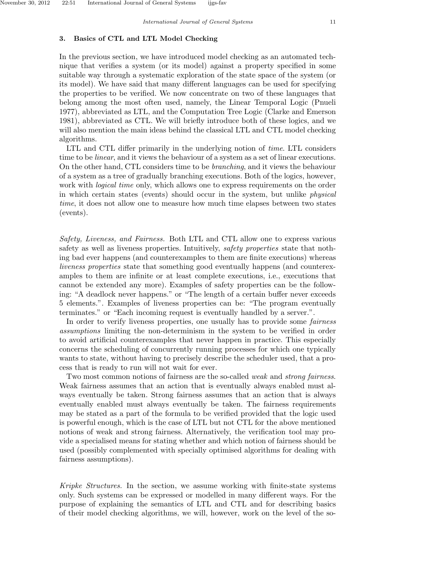### 3. Basics of CTL and LTL Model Checking

In the previous section, we have introduced model checking as an automated technique that verifies a system (or its model) against a property specified in some suitable way through a systematic exploration of the state space of the system (or its model). We have said that many different languages can be used for specifying the properties to be verified. We now concentrate on two of these languages that belong among the most often used, namely, the Linear Temporal Logic (Pnueli 1977), abbreviated as LTL, and the Computation Tree Logic (Clarke and Emerson 1981), abbreviated as CTL. We will briefly introduce both of these logics, and we will also mention the main ideas behind the classical LTL and CTL model checking algorithms.

LTL and CTL differ primarily in the underlying notion of time. LTL considers time to be *linear*, and it views the behaviour of a system as a set of linear executions. On the other hand, CTL considers time to be branching, and it views the behaviour of a system as a tree of gradually branching executions. Both of the logics, however, work with *logical time* only, which allows one to express requirements on the order in which certain states (events) should occur in the system, but unlike physical time, it does not allow one to measure how much time elapses between two states (events).

Safety, Liveness, and Fairness. Both LTL and CTL allow one to express various safety as well as liveness properties. Intuitively, safety properties state that nothing bad ever happens (and counterexamples to them are finite executions) whereas liveness properties state that something good eventually happens (and counterexamples to them are infinite or at least complete executions, i.e., executions that cannot be extended any more). Examples of safety properties can be the following: "A deadlock never happens." or "The length of a certain buffer never exceeds 5 elements.". Examples of liveness properties can be: "The program eventually terminates." or "Each incoming request is eventually handled by a server.".

In order to verify liveness properties, one usually has to provide some *fairness* assumptions limiting the non-determinism in the system to be verified in order to avoid artificial counterexamples that never happen in practice. This especially concerns the scheduling of concurrently running processes for which one typically wants to state, without having to precisely describe the scheduler used, that a process that is ready to run will not wait for ever.

Two most common notions of fairness are the so-called *weak* and *strong fairness*. Weak fairness assumes that an action that is eventually always enabled must always eventually be taken. Strong fairness assumes that an action that is always eventually enabled must always eventually be taken. The fairness requirements may be stated as a part of the formula to be verified provided that the logic used is powerful enough, which is the case of LTL but not CTL for the above mentioned notions of weak and strong fairness. Alternatively, the verification tool may provide a specialised means for stating whether and which notion of fairness should be used (possibly complemented with specially optimised algorithms for dealing with fairness assumptions).

Kripke Structures. In the section, we assume working with finite-state systems only. Such systems can be expressed or modelled in many different ways. For the purpose of explaining the semantics of LTL and CTL and for describing basics of their model checking algorithms, we will, however, work on the level of the so-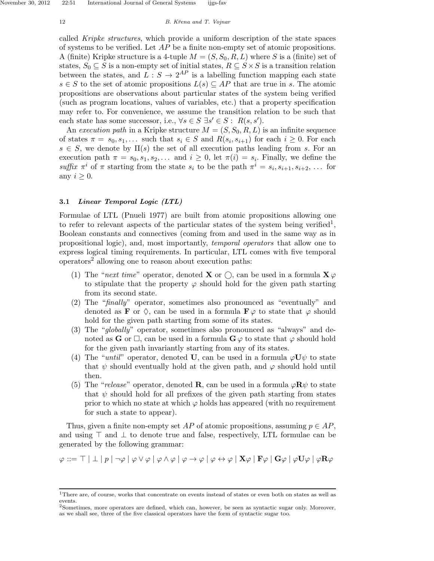called Kripke structures, which provide a uniform description of the state spaces of systems to be verified. Let  $AP$  be a finite non-empty set of atomic propositions. A (finite) Kripke structure is a 4-tuple  $M = (S, S_0, R, L)$  where S is a (finite) set of states,  $S_0 \subseteq S$  is a non-empty set of initial states,  $R \subseteq S \times S$  is a transition relation between the states, and  $L: S \to 2^{AP}$  is a labelling function mapping each state s  $\in$  S to the set of atomic propositions  $L(s) \subseteq AP$  that are true in s. The atomic propositions are observations about particular states of the system being verified (such as program locations, values of variables, etc.) that a property specification may refer to. For convenience, we assume the transition relation to be such that each state has some successor, i.e.,  $\forall s \in S \; \exists s' \in S : R(s, s')$ .

An execution path in a Kripke structure  $M = (S, S_0, R, L)$  is an infinite sequence of states  $\pi = s_0, s_1, \ldots$  such that  $s_i \in S$  and  $R(s_i, s_{i+1})$  for each  $i \geq 0$ . For each  $s \in S$ , we denote by  $\Pi(s)$  the set of all execution paths leading from s. For an execution path  $\pi = s_0, s_1, s_2, \ldots$  and  $i \geq 0$ , let  $\pi(i) = s_i$ . Finally, we define the suffix  $\pi^i$  of  $\pi$  starting from the state  $s_i$  to be the path  $\pi^i = s_i, s_{i+1}, s_{i+2}, \ldots$  for any  $i \geq 0$ .

## 3.1 Linear Temporal Logic (LTL)

Formulae of LTL (Pnueli 1977) are built from atomic propositions allowing one to refer to relevant aspects of the particular states of the system being verified<sup>1</sup>, Boolean constants and connectives (coming from and used in the same way as in propositional logic), and, most importantly, temporal operators that allow one to express logical timing requirements. In particular, LTL comes with five temporal operators<sup>2</sup> allowing one to reason about execution paths:

- (1) The "next time" operator, denoted **X** or  $\bigcap$ , can be used in a formula  $\mathbf{X} \varphi$ to stipulate that the property  $\varphi$  should hold for the given path starting from its second state.
- (2) The "finally" operator, sometimes also pronounced as "eventually" and denoted as **F** or  $\Diamond$ , can be used in a formula **F** $\varphi$  to state that  $\varphi$  should hold for the given path starting from some of its states.
- (3) The "globally" operator, sometimes also pronounced as "always" and denoted as **G** or  $\Box$ , can be used in a formula  $\mathbf{G} \varphi$  to state that  $\varphi$  should hold for the given path invariantly starting from any of its states.
- (4) The "until" operator, denoted U, can be used in a formula  $\varphi U \psi$  to state that  $\psi$  should eventually hold at the given path, and  $\varphi$  should hold until then.
- (5) The "release" operator, denoted **R**, can be used in a formula  $\varphi \mathbf{R} \psi$  to state that  $\psi$  should hold for all prefixes of the given path starting from states prior to which no state at which  $\varphi$  holds has appeared (with no requirement for such a state to appear).

Thus, given a finite non-empty set AP of atomic propositions, assuming  $p \in AP$ , and using ⊤ and ⊥ to denote true and false, respectively, LTL formulae can be generated by the following grammar:

$$
\varphi ::= \top \mid \bot \mid p \mid \neg \varphi \mid \varphi \vee \varphi \mid \varphi \wedge \varphi \mid \varphi \rightarrow \varphi \mid \varphi \leftrightarrow \varphi \mid \mathbf{X} \varphi \mid \mathbf{F} \varphi \mid \mathbf{G} \varphi \mid \varphi \mathbf{U} \varphi \mid \varphi \mathbf{R} \varphi
$$

<sup>&</sup>lt;sup>1</sup>There are, of course, works that concentrate on events instead of states or even both on states as well as events.

<sup>2</sup>Sometimes, more operators are defined, which can, however, be seen as syntactic sugar only. Moreover, as we shall see, three of the five classical operators have the form of syntactic sugar too.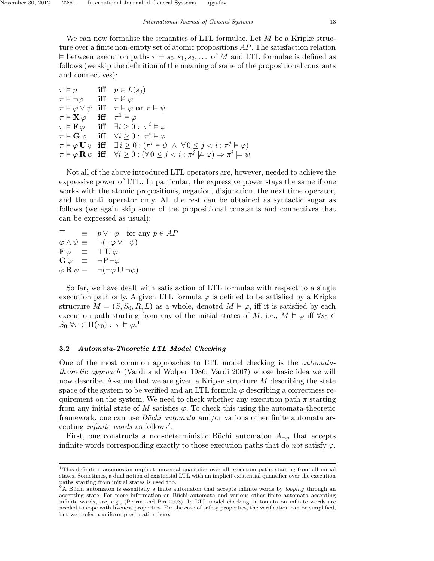We can now formalise the semantics of LTL formulae. Let  $M$  be a Kripke structure over a finite non-empty set of atomic propositions AP. The satisfaction relation  $\vdash$  between execution paths  $\pi = s_0, s_1, s_2, \ldots$  of M and LTL formulae is defined as follows (we skip the definition of the meaning of some of the propositional constants and connectives):

 $\pi \vDash p$  iff  $p \in L(s_0)$  $\pi \models \neg \varphi$  iff  $\pi \nvDash \varphi$  $\pi \vDash \varphi \lor \psi$  iff  $\pi \vDash \varphi$  or  $\pi \vDash \psi$  $\pi \vDash \mathbf{X} \varphi$ iff  $\pi^1 \models \varphi$  $\pi \vDash \mathbf{F}\,\varphi \quad\quad \textbf{iff} \quad \exists i \geq 0: \,\, \pi^i \vDash \varphi$  $\pi \vDash \mathbf{G\,} \varphi \quad \text{ iff } \quad \forall i \geq 0: \,\, \pi^i \vDash \varphi$  $\pi \vDash \varphi \mathbf{U} \psi \text{ iff } \exists i \geq 0 : (\pi^i \vDash \psi \ \wedge \ \forall 0 \leq j < i : \pi^j \vDash \varphi)$  $\pi \vDash \varphi\,\textbf{R}\, \psi \ \ \textbf{ iff } \ \ \ \forall i \geq 0: (\forall \, 0 \leq j < i : \pi^j \not \models \varphi) \Rightarrow \pi^i \models \psi$ 

Not all of the above introduced LTL operators are, however, needed to achieve the expressive power of LTL. In particular, the expressive power stays the same if one works with the atomic propositions, negation, disjunction, the next time operator, and the until operator only. All the rest can be obtained as syntactic sugar as follows (we again skip some of the propositional constants and connectives that can be expressed as usual):

$$
\begin{array}{rcl}\n\top & \equiv & p \lor \neg p \quad \text{for any } p \in AP \\
\varphi \land \psi & \equiv & \neg(\neg \varphi \lor \neg \psi) \\
\mathbf{F} \varphi & \equiv & \top \mathbf{U} \varphi \\
\mathbf{G} \varphi & \equiv & \neg \mathbf{F} \neg \varphi \\
\varphi \mathbf{R} \psi & \equiv & \neg(\neg \varphi \mathbf{U} \neg \psi)\n\end{array}
$$

So far, we have dealt with satisfaction of LTL formulae with respect to a single execution path only. A given LTL formula  $\varphi$  is defined to be satisfied by a Kripke structure  $M = (S, S_0, R, L)$  as a whole, denoted  $M \models \varphi$ , iff it is satisfied by each execution path starting from any of the initial states of M, i.e.,  $M \models \varphi$  iff  $\forall s_0 \in$  $S_0 \,\forall \pi \in \Pi(s_0): \pi \vDash \varphi^1$ .

### 3.2 Automata-Theoretic LTL Model Checking

One of the most common approaches to LTL model checking is the automatatheoretic approach (Vardi and Wolper 1986, Vardi 2007) whose basic idea we will now describe. Assume that we are given a Kripke structure M describing the state space of the system to be verified and an LTL formula  $\varphi$  describing a correctness requirement on the system. We need to check whether any execution path  $\pi$  starting from any initial state of M satisfies  $\varphi$ . To check this using the automata-theoretic framework, one can use *Büchi automata* and/or various other finite automata accepting *infinite words* as follows<sup>2</sup>.

First, one constructs a non-deterministic Büchi automaton  $A_{\neg\varphi}$  that accepts infinite words corresponding exactly to those execution paths that do *not* satisfy  $\varphi$ .

<sup>1</sup>This definition assumes an implicit universal quantifier over all execution paths starting from all initial states. Sometimes, a dual notion of existential LTL with an implicit existential quantifier over the execution paths starting from initial states is used too.

 $2A$  Büchi automaton is essentially a finite automaton that accepts infinite words by looping through an accepting state. For more information on Büchi automata and various other finite automata accepting infinite words, see, e.g., (Perrin and Pin 2003). In LTL model checking, automata on infinite words are needed to cope with liveness properties. For the case of safety properties, the verification can be simplified, but we prefer a uniform presentation here.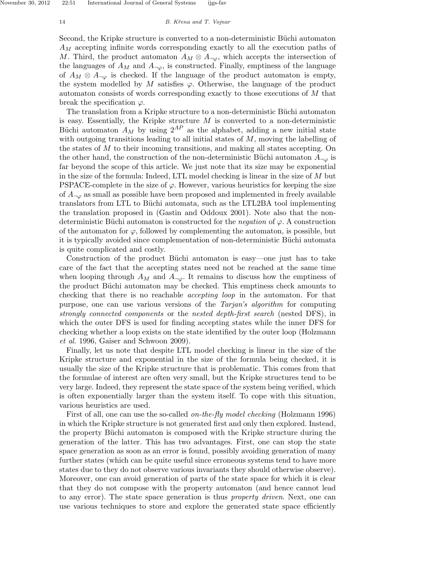Second, the Kripke structure is converted to a non-deterministic Büchi automaton  $A_M$  accepting infinite words corresponding exactly to all the execution paths of M. Third, the product automaton  $A_M \otimes A_{\neg \varphi}$ , which accepts the intersection of the languages of  $A_M$  and  $A_{\neg \varphi}$ , is constructed. Finally, emptiness of the language of  $A_M \otimes A_{\neg \varphi}$  is checked. If the language of the product automaton is empty, the system modelled by M satisfies  $\varphi$ . Otherwise, the language of the product automaton consists of words corresponding exactly to those executions of M that break the specification  $\varphi$ .

The translation from a Kripke structure to a non-deterministic Büchi automaton is easy. Essentially, the Kripke structure  $M$  is converted to a non-deterministic Büchi automaton  $A_M$  by using  $2^{AP}$  as the alphabet, adding a new initial state with outgoing transitions leading to all initial states of  $M$ , moving the labelling of the states of M to their incoming transitions, and making all states accepting. On the other hand, the construction of the non-deterministic Büchi automaton  $A_{\neg\varphi}$  is far beyond the scope of this article. We just note that its size may be exponential in the size of the formula: Indeed, LTL model checking is linear in the size of M but PSPACE-complete in the size of  $\varphi$ . However, various heuristics for keeping the size of  $A_{\neg\varphi}$  as small as possible have been proposed and implemented in freely available translators from LTL to Büchi automata, such as the LTL2BA tool implementing the translation proposed in (Gastin and Oddoux 2001). Note also that the nondeterministic Büchi automaton is constructed for the negation of  $\varphi$ . A construction of the automaton for  $\varphi$ , followed by complementing the automaton, is possible, but it is typically avoided since complementation of non-deterministic Büchi automata is quite complicated and costly.

Construction of the product Büchi automaton is easy—one just has to take care of the fact that the accepting states need not be reached at the same time when looping through  $A_M$  and  $A_{\neg \varphi}$ . It remains to discuss how the emptiness of the product Büchi automaton may be checked. This emptiness check amounts to checking that there is no reachable accepting loop in the automaton. For that purpose, one can use various versions of the Tarjan's algorithm for computing strongly connected components or the nested depth-first search (nested DFS), in which the outer DFS is used for finding accepting states while the inner DFS for checking whether a loop exists on the state identified by the outer loop (Holzmann et al. 1996, Gaiser and Schwoon 2009).

Finally, let us note that despite LTL model checking is linear in the size of the Kripke structure and exponential in the size of the formula being checked, it is usually the size of the Kripke structure that is problematic. This comes from that the formulae of interest are often very small, but the Kripke structures tend to be very large. Indeed, they represent the state space of the system being verified, which is often exponentially larger than the system itself. To cope with this situation, various heuristics are used.

First of all, one can use the so-called *on-the-fly model checking* (Holzmann 1996) in which the Kripke structure is not generated first and only then explored. Instead, the property Büchi automaton is composed with the Kripke structure during the generation of the latter. This has two advantages. First, one can stop the state space generation as soon as an error is found, possibly avoiding generation of many further states (which can be quite useful since erroneous systems tend to have more states due to they do not observe various invariants they should otherwise observe). Moreover, one can avoid generation of parts of the state space for which it is clear that they do not compose with the property automaton (and hence cannot lead to any error). The state space generation is thus property driven. Next, one can use various techniques to store and explore the generated state space efficiently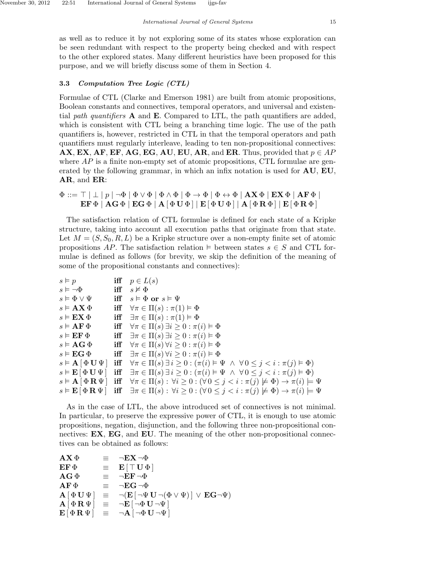as well as to reduce it by not exploring some of its states whose exploration can be seen redundant with respect to the property being checked and with respect to the other explored states. Many different heuristics have been proposed for this purpose, and we will briefly discuss some of them in Section 4.

# 3.3 Computation Tree Logic (CTL)

Formulae of CTL (Clarke and Emerson 1981) are built from atomic propositions, Boolean constants and connectives, temporal operators, and universal and existential path quantifiers  $\bf{A}$  and  $\bf{E}$ . Compared to LTL, the path quantifiers are added, which is consistent with CTL being a branching time logic. The use of the path quantifiers is, however, restricted in CTL in that the temporal operators and path quantifiers must regularly interleave, leading to ten non-propositional connectives:  $AX, EX, AF, EF, AG, EG, AU, EU, AR, and ER. Thus, provided that  $p \in AP$$ where  $AP$  is a finite non-empty set of atomic propositions, CTL formulae are generated by the following grammar, in which an infix notation is used for  $AU$ ,  $EU$ , AR, and ER:

```
\Phi ::= \top | \bot | p | \neg \Phi | \Phi \vee \Phi | \Phi \wedge \Phi | \Phi \rightarrow \Phi | \Phi \leftrightarrow \Phi | AX \Phi | EX \Phi | AF \Phi |\mathbf{E} \mathbf{F} \Phi \mid \mathbf{A} \mathbf{G} \Phi \mid \mathbf{E} \mathbf{G} \Phi \mid \mathbf{A} \left[ \Phi \mathbf{U} \Phi \right] \mid \mathbf{E} \left[ \Phi \mathbf{U} \Phi \right] \mid \mathbf{A} \left[ \Phi \mathbf{R} \Phi \right] \mid \mathbf{E} \left[ \Phi \mathbf{R} \Phi \right]
```
The satisfaction relation of CTL formulae is defined for each state of a Kripke structure, taking into account all execution paths that originate from that state. Let  $M = (S, S_0, R, L)$  be a Kripke structure over a non-empty finite set of atomic propositions AP. The satisfaction relation  $\models$  between states  $s \in S$  and CTL formulae is defined as follows (for brevity, we skip the definition of the meaning of some of the propositional constants and connectives):

| $s \models p$                                 | iff $p \in L(s)$                                                                                                                                                                             |
|-----------------------------------------------|----------------------------------------------------------------------------------------------------------------------------------------------------------------------------------------------|
| $s \vDash \neg \Phi$                          | iff $s \not\models \Phi$                                                                                                                                                                     |
| $s \vDash \Phi \vee \Psi$                     | iff $s \models \Phi$ or $s \models \Psi$                                                                                                                                                     |
| $s \vDash AX \Phi$                            | iff $\forall \pi \in \Pi(s) : \pi(1) \models \Phi$                                                                                                                                           |
| $s \vDash$ EX $\Phi$                          | iff $\exists \pi \in \Pi(s) : \pi(1) \models \Phi$                                                                                                                                           |
| $s \vDash AF\Phi$                             | iff $\forall \pi \in \Pi(s) \exists i \geq 0 : \pi(i) \models \Phi$                                                                                                                          |
| $s \vDash \mathbf{EF} \Phi$                   | iff $\exists \pi \in \Pi(s) \exists i \geq 0 : \pi(i) \models \Phi$                                                                                                                          |
| $s \vDash \mathbf{AG} \Phi$                   | iff $\forall \pi \in \Pi(s) \forall i \geq 0 : \pi(i) \models \Phi$                                                                                                                          |
| $s \vDash \mathbf{EG} \Phi$                   | iff $\exists \pi \in \Pi(s) \forall i \geq 0 : \pi(i) \models \Phi$                                                                                                                          |
|                                               | $s \models A [\Phi \cup \Psi]$ iff $\forall \pi \in \Pi(s) \exists i \geq 0 : (\pi(i) \models \Psi \land \forall 0 \leq j < i : \pi(j) \models \Phi)$                                        |
| $s \models \mathbf{E} [\Phi \mathbf{U} \Psi]$ | iff $\exists \pi \in \Pi(s) \exists i \geq 0 : (\pi(i) \models \Psi \land \forall 0 \leq j < i : \pi(j) \models \Phi)$                                                                       |
| $s \models A [\Phi R \Psi]$                   | iff $\forall \pi \in \Pi(s) : \forall i \geq 0 : (\forall 0 \leq j < i : \pi(j) \not\models \Phi) \rightarrow \pi(i) \models \Psi$                                                           |
|                                               | $s \vDash \mathbf{E} \left[ \Phi \mathbf{R} \Psi \right]$ iff $\exists \pi \in \Pi(s) : \forall i \geq 0 : (\forall 0 \leq j < i : \pi(j) \not\models \Phi) \rightarrow \pi(i) \models \Psi$ |

As in the case of LTL, the above introduced set of connectives is not minimal. In particular, to preserve the expressive power of CTL, it is enough to use atomic propositions, negation, disjunction, and the following three non-propositional connectives: **EX, EG**, and **EU**. The meaning of the other non-propositional connectives can be obtained as follows:

| $AX \Phi$                       | $\equiv -EX - \Phi$                                                                                                                                                                                   |
|---------------------------------|-------------------------------------------------------------------------------------------------------------------------------------------------------------------------------------------------------|
| $\mathbf{E} \mathbf{F} \, \Phi$ | $\equiv$ <b>E</b> $\lceil \top \mathbf{U} \Phi \rceil$                                                                                                                                                |
| $AG\Phi$                        | $\equiv \quad \neg \mathbf{E} \mathbf{F} \, \neg \Phi$                                                                                                                                                |
| ${\bf AF}\,\Phi$                | $\equiv \quad \neg \mathbf{E} \mathbf{G} \neg \Phi$                                                                                                                                                   |
|                                 | $\mathbf{A} \begin{bmatrix} \Phi \mathbf{U} \Psi \end{bmatrix} \equiv \neg(\mathbf{E} \begin{bmatrix} \neg \Psi \mathbf{U} \neg (\Phi \vee \Psi) \end{bmatrix} \vee \mathbf{E} \mathbf{G} \neg \Psi)$ |
|                                 | $\mathbf{A} \begin{bmatrix} \Phi \mathbf{R} \Psi \end{bmatrix} = -\mathbf{E} \begin{bmatrix} -\Phi \mathbf{U} - \Psi \end{bmatrix}$                                                                   |
|                                 | $\mathbf{E} [\Phi \mathbf{R} \Psi] \equiv \neg \mathbf{A} [\neg \Phi \mathbf{U} \neg \Psi]$                                                                                                           |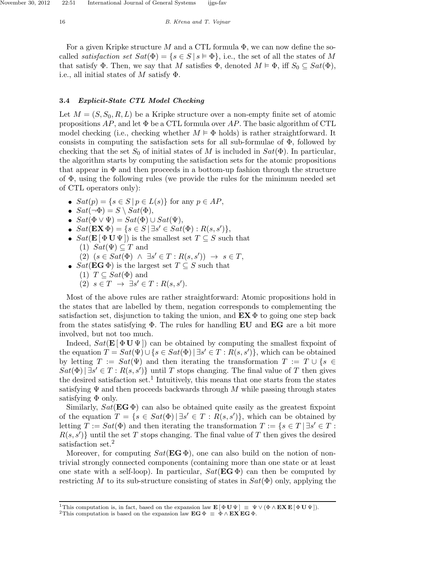For a given Kripke structure M and a CTL formula  $\Phi$ , we can now define the socalled *satisfaction set*  $Sat(\Phi) = \{s \in S \mid s \models \Phi\}$ , i.e., the set of all the states of M that satisfy  $\Phi$ . Then, we say that M satisfies  $\Phi$ , denoted  $M \vDash \Phi$ , iff  $S_0 \subseteq Sat(\Phi)$ , i.e., all initial states of M satisfy  $\Phi$ .

# 3.4 Explicit-State CTL Model Checking

Let  $M = (S, S_0, R, L)$  be a Kripke structure over a non-empty finite set of atomic propositions  $AP$ , and let  $\Phi$  be a CTL formula over  $AP$ . The basic algorithm of CTL model checking (i.e., checking whether  $M \models \Phi$  holds) is rather straightforward. It consists in computing the satisfaction sets for all sub-formulae of  $\Phi$ , followed by checking that the set  $S_0$  of initial states of M is included in  $Sat(\Phi)$ . In particular, the algorithm starts by computing the satisfaction sets for the atomic propositions that appear in  $\Phi$  and then proceeds in a bottom-up fashion through the structure of Φ, using the following rules (we provide the rules for the minimum needed set of CTL operators only):

- $Sat(p) = \{s \in S \mid p \in L(s)\}\$ for any  $p \in AP$ ,
- $Sat(\neg \Phi) = S \setminus Sat(\Phi)$ ,
- $Sat(\Phi \vee \Psi) = Sat(\Phi) \cup Sat(\Psi),$
- $Sat(EX \Phi) = \{ s \in S \mid \exists s' \in Sat(\Phi) : R(s, s') \},\$
- $Sat(\mathbf{E} \vert \Phi \mathbf{U} \Psi)$  is the smallest set  $T \subseteq S$  such that (1)  $Sat(\Psi) \subseteq T$  and
- $(2)$   $(s \in Sat(\Phi) \land \exists s' \in T : R(s, s')) \rightarrow s \in T,$
- $Sat(EG \Phi)$  is the largest set  $T \subseteq S$  such that (1)  $T \subseteq Sat(\Phi)$  and
	- (2)  $s \in T \rightarrow \exists s' \in T : R(s, s').$

Most of the above rules are rather straightforward: Atomic propositions hold in the states that are labelled by them, negation corresponds to complementing the satisfaction set, disjunction to taking the union, and  $\mathbf{EX} \Phi$  to going one step back from the states satisfying  $\Phi$ . The rules for handling **EU** and **EG** are a bit more involved, but not too much.

Indeed,  $Sat(\mathbf{E} \vert \Phi \mathbf{U} \Psi)$  can be obtained by computing the smallest fixpoint of the equation  $T = Sat(\Psi) \cup \{s \in Sat(\Phi) | \exists s' \in T : R(s, s')\},\$  which can be obtained by letting  $T := Sat(\Psi)$  and then iterating the transformation  $T := T \cup \{s \in$  $Sat(\Phi)$   $\exists s' \in T : R(s, s')$  until T stops changing. The final value of T then gives the desired satisfaction set.<sup>1</sup> Intuitively, this means that one starts from the states satisfying  $\Psi$  and then proceeds backwards through M while passing through states satisfying  $\Phi$  only.

Similarly,  $Sat(\mathbf{EG}\Phi)$  can also be obtained quite easily as the greatest fixpoint of the equation  $T = \{ s \in Sat(\Phi) | \exists s' \in T : R(s, s') \},$  which can be obtained by letting  $T := Sat(\Phi)$  and then iterating the transformation  $T := \{ s \in T \mid \exists s' \in T : s s \in T \}$  $R(s, s')$  until the set T stops changing. The final value of T then gives the desired satisfaction set.<sup>2</sup>

Moreover, for computing  $Sat(\mathbf{EG}\Phi)$ , one can also build on the notion of nontrivial strongly connected components (containing more than one state or at least one state with a self-loop). In particular,  $Sat(EG\Phi)$  can then be computed by restricting M to its sub-structure consisting of states in  $Sat(\Phi)$  only, applying the

<sup>&</sup>lt;sup>1</sup>This computation is, in fact, based on the expansion law  $\mathbf{E}[\Phi \mathbf{U}\Psi] \equiv \Psi \vee (\Phi \wedge \mathbf{EX} \mathbf{E}[\Phi \mathbf{U}\Psi]).$ 

<sup>&</sup>lt;sup>2</sup>This computation is based on the expansion law  $\mathbf{EG} \Phi \equiv \Phi \wedge \mathbf{EX} \mathbf{EG} \Phi$ .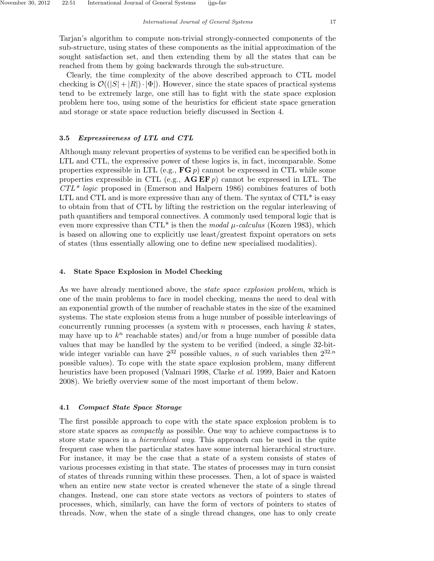Tarjan's algorithm to compute non-trivial strongly-connected components of the sub-structure, using states of these components as the initial approximation of the sought satisfaction set, and then extending them by all the states that can be reached from them by going backwards through the sub-structure.

Clearly, the time complexity of the above described approach to CTL model checking is  $\mathcal{O}((|S|+|R|)\cdot |\Phi|)$ . However, since the state spaces of practical systems tend to be extremely large, one still has to fight with the state space explosion problem here too, using some of the heuristics for efficient state space generation and storage or state space reduction briefly discussed in Section 4.

### 3.5 Expressiveness of LTL and CTL

Although many relevant properties of systems to be verified can be specified both in LTL and CTL, the expressive power of these logics is, in fact, incomparable. Some properties expressible in LTL (e.g.,  $\mathbf{FG} p$ ) cannot be expressed in CTL while some properties expressible in CTL (e.g.,  $\overrightarrow{A}$  **GEF** p) cannot be expressed in LTL. The  $CTL^*$  logic proposed in (Emerson and Halpern 1986) combines features of both LTL and CTL and is more expressive than any of them. The syntax of  $\text{CTL}^*$  is easy to obtain from that of CTL by lifting the restriction on the regular interleaving of path quantifiers and temporal connectives. A commonly used temporal logic that is even more expressive than CTL<sup>\*</sup> is then the *modal*  $\mu$ *-calculus* (Kozen 1983), which is based on allowing one to explicitly use least/greatest fixpoint operators on sets of states (thus essentially allowing one to define new specialised modalities).

## 4. State Space Explosion in Model Checking

As we have already mentioned above, the *state space explosion problem*, which is one of the main problems to face in model checking, means the need to deal with an exponential growth of the number of reachable states in the size of the examined systems. The state explosion stems from a huge number of possible interleavings of concurrently running processes (a system with  $n$  processes, each having  $k$  states, may have up to  $k^n$  reachable states) and/or from a huge number of possible data values that may be handled by the system to be verified (indeed, a single 32-bitwide integer variable can have  $2^{32}$  possible values, n of such variables then  $2^{32}$ . possible values). To cope with the state space explosion problem, many different heuristics have been proposed (Valmari 1998, Clarke *et al.* 1999, Baier and Katoen 2008). We briefly overview some of the most important of them below.

### 4.1 Compact State Space Storage

The first possible approach to cope with the state space explosion problem is to store state spaces as *compactly* as possible. One way to achieve compactness is to store state spaces in a *hierarchical way*. This approach can be used in the quite frequent case when the particular states have some internal hierarchical structure. For instance, it may be the case that a state of a system consists of states of various processes existing in that state. The states of processes may in turn consist of states of threads running within these processes. Then, a lot of space is waisted when an entire new state vector is created whenever the state of a single thread changes. Instead, one can store state vectors as vectors of pointers to states of processes, which, similarly, can have the form of vectors of pointers to states of threads. Now, when the state of a single thread changes, one has to only create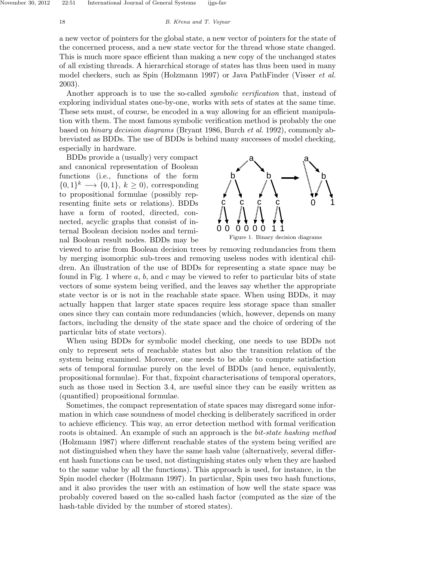a new vector of pointers for the global state, a new vector of pointers for the state of the concerned process, and a new state vector for the thread whose state changed. This is much more space efficient than making a new copy of the unchanged states of all existing threads. A hierarchical storage of states has thus been used in many model checkers, such as Spin (Holzmann 1997) or Java PathFinder (Visser et al. 2003).

Another approach is to use the so-called *symbolic verification* that, instead of exploring individual states one-by-one, works with sets of states at the same time. These sets must, of course, be encoded in a way allowing for an efficient manipulation with them. The most famous symbolic verification method is probably the one based on binary decision diagrams (Bryant 1986, Burch et al. 1992), commonly abbreviated as BDDs. The use of BDDs is behind many successes of model checking, especially in hardware.

BDDs provide a (usually) very compact and canonical representation of Boolean functions (i.e., functions of the form  $\{0,1\}^k \longrightarrow \{0,1\}, k \ge 0$ , corresponding to propositional formulae (possibly representing finite sets or relations). BDDs have a form of rooted, directed, connected, acyclic graphs that consist of internal Boolean decision nodes and terminal Boolean result nodes. BDDs may be



viewed to arise from Boolean decision trees by removing redundancies from them by merging isomorphic sub-trees and removing useless nodes with identical children. An illustration of the use of BDDs for representing a state space may be found in Fig. 1 where  $a, b$ , and  $c$  may be viewed to refer to particular bits of state vectors of some system being verified, and the leaves say whether the appropriate state vector is or is not in the reachable state space. When using BDDs, it may actually happen that larger state spaces require less storage space than smaller ones since they can contain more redundancies (which, however, depends on many factors, including the density of the state space and the choice of ordering of the particular bits of state vectors).

When using BDDs for symbolic model checking, one needs to use BDDs not only to represent sets of reachable states but also the transition relation of the system being examined. Moreover, one needs to be able to compute satisfaction sets of temporal formulae purely on the level of BDDs (and hence, equivalently, propositional formulae). For that, fixpoint characterisations of temporal operators, such as those used in Section 3.4, are useful since they can be easily written as (quantified) propositional formulae.

Sometimes, the compact representation of state spaces may disregard some information in which case soundness of model checking is deliberately sacrificed in order to achieve efficiency. This way, an error detection method with formal verification roots is obtained. An example of such an approach is the *bit-state hashing method* (Holzmann 1987) where different reachable states of the system being verified are not distinguished when they have the same hash value (alternatively, several different hash functions can be used, not distinguishing states only when they are hashed to the same value by all the functions). This approach is used, for instance, in the Spin model checker (Holzmann 1997). In particular, Spin uses two hash functions, and it also provides the user with an estimation of how well the state space was probably covered based on the so-called hash factor (computed as the size of the hash-table divided by the number of stored states).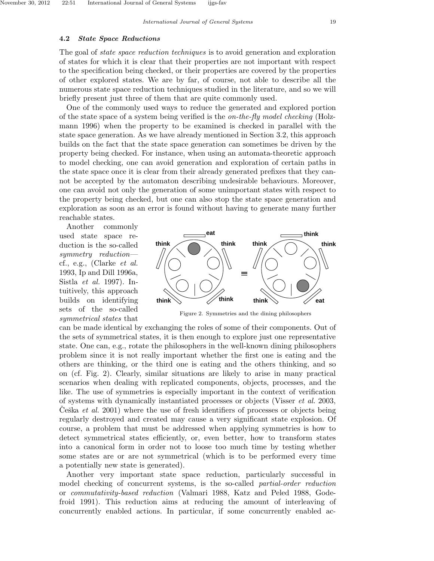### 4.2 State Space Reductions

The goal of *state space reduction techniques* is to avoid generation and exploration of states for which it is clear that their properties are not important with respect to the specification being checked, or their properties are covered by the properties of other explored states. We are by far, of course, not able to describe all the numerous state space reduction techniques studied in the literature, and so we will briefly present just three of them that are quite commonly used.

One of the commonly used ways to reduce the generated and explored portion of the state space of a system being verified is the on-the-fly model checking (Holzmann 1996) when the property to be examined is checked in parallel with the state space generation. As we have already mentioned in Section 3.2, this approach builds on the fact that the state space generation can sometimes be driven by the property being checked. For instance, when using an automata-theoretic approach to model checking, one can avoid generation and exploration of certain paths in the state space once it is clear from their already generated prefixes that they cannot be accepted by the automaton describing undesirable behaviours. Moreover, one can avoid not only the generation of some unimportant states with respect to the property being checked, but one can also stop the state space generation and exploration as soon as an error is found without having to generate many further reachable states.

Another commonly used state space reduction is the so-called symmetry reduction cf., e.g., (Clarke et al. 1993, Ip and Dill 1996a, Sistla et al. 1997). Intuitively, this approach builds on identifying sets of the so-called symmetrical states that



Figure 2. Symmetries and the dining philosophers

can be made identical by exchanging the roles of some of their components. Out of the sets of symmetrical states, it is then enough to explore just one representative state. One can, e.g., rotate the philosophers in the well-known dining philosophers problem since it is not really important whether the first one is eating and the others are thinking, or the third one is eating and the others thinking, and so on (cf. Fig. 2). Clearly, similar situations are likely to arise in many practical scenarios when dealing with replicated components, objects, processes, and the like. The use of symmetries is especially important in the context of verification of systems with dynamically instantiated processes or objects (Visser et al. 2003, Ceška *et al.* 2001) where the use of fresh identifiers of processes or objects being regularly destroyed and created may cause a very significant state explosion. Of course, a problem that must be addressed when applying symmetries is how to detect symmetrical states efficiently, or, even better, how to transform states into a canonical form in order not to loose too much time by testing whether some states are or are not symmetrical (which is to be performed every time a potentially new state is generated).

Another very important state space reduction, particularly successful in model checking of concurrent systems, is the so-called partial-order reduction or commutativity-based reduction (Valmari 1988, Katz and Peled 1988, Godefroid 1991). This reduction aims at reducing the amount of interleaving of concurrently enabled actions. In particular, if some concurrently enabled ac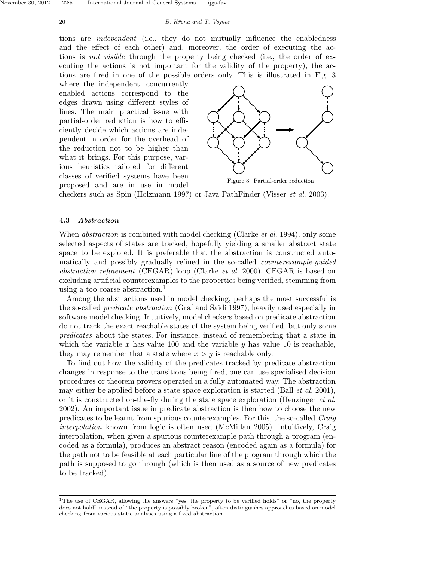tions are *independent* (i.e., they do not mutually influence the enabledness and the effect of each other) and, moreover, the order of executing the actions is not visible through the property being checked (i.e., the order of executing the actions is not important for the validity of the property), the actions are fired in one of the possible orders only. This is illustrated in Fig. 3

where the independent, concurrently enabled actions correspond to the edges drawn using different styles of lines. The main practical issue with partial-order reduction is how to efficiently decide which actions are independent in order for the overhead of the reduction not to be higher than what it brings. For this purpose, various heuristics tailored for different classes of verified systems have been proposed and are in use in model



checkers such as Spin (Holzmann 1997) or Java PathFinder (Visser et al. 2003).

# 4.3 Abstraction

When *abstraction* is combined with model checking (Clarke *et al.* 1994), only some selected aspects of states are tracked, hopefully yielding a smaller abstract state space to be explored. It is preferable that the abstraction is constructed automatically and possibly gradually refined in the so-called counterexample-guided abstraction refinement (CEGAR) loop (Clarke et al. 2000). CEGAR is based on excluding artificial counterexamples to the properties being verified, stemming from using a too coarse abstraction.<sup>1</sup>

Among the abstractions used in model checking, perhaps the most successful is the so-called *predicate abstraction* (Graf and Saïdi 1997), heavily used especially in software model checking. Intuitively, model checkers based on predicate abstraction do not track the exact reachable states of the system being verified, but only some predicates about the states. For instance, instead of remembering that a state in which the variable x has value 100 and the variable y has value 10 is reachable, they may remember that a state where  $x > y$  is reachable only.

To find out how the validity of the predicates tracked by predicate abstraction changes in response to the transitions being fired, one can use specialised decision procedures or theorem provers operated in a fully automated way. The abstraction may either be applied before a state space exploration is started (Ball  $et al. 2001$ ), or it is constructed on-the-fly during the state space exploration (Henzinger et al. 2002). An important issue in predicate abstraction is then how to choose the new predicates to be learnt from spurious counterexamples. For this, the so-called Craig interpolation known from logic is often used (McMillan 2005). Intuitively, Craig interpolation, when given a spurious counterexample path through a program (encoded as a formula), produces an abstract reason (encoded again as a formula) for the path not to be feasible at each particular line of the program through which the path is supposed to go through (which is then used as a source of new predicates to be tracked).

<sup>1</sup>The use of CEGAR, allowing the answers "yes, the property to be verified holds" or "no, the property does not hold" instead of "the property is possibly broken", often distinguishes approaches based on model checking from various static analyses using a fixed abstraction.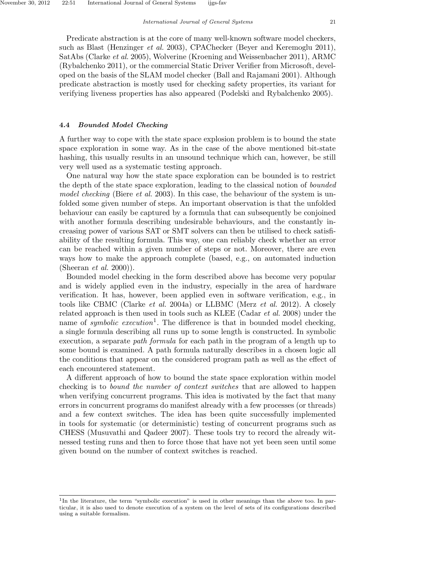Predicate abstraction is at the core of many well-known software model checkers, such as Blast (Henzinger et al. 2003), CPAChecker (Beyer and Keremoglu 2011), SatAbs (Clarke et al. 2005), Wolverine (Kroening and Weissenbacher 2011), ARMC (Rybalchenko 2011), or the commercial Static Driver Verifier from Microsoft, developed on the basis of the SLAM model checker (Ball and Rajamani 2001). Although predicate abstraction is mostly used for checking safety properties, its variant for verifying liveness properties has also appeared (Podelski and Rybalchenko 2005).

### 4.4 Bounded Model Checking

A further way to cope with the state space explosion problem is to bound the state space exploration in some way. As in the case of the above mentioned bit-state hashing, this usually results in an unsound technique which can, however, be still very well used as a systematic testing approach.

One natural way how the state space exploration can be bounded is to restrict the depth of the state space exploration, leading to the classical notion of bounded model checking (Biere et al. 2003). In this case, the behaviour of the system is unfolded some given number of steps. An important observation is that the unfolded behaviour can easily be captured by a formula that can subsequently be conjoined with another formula describing undesirable behaviours, and the constantly increasing power of various SAT or SMT solvers can then be utilised to check satisfiability of the resulting formula. This way, one can reliably check whether an error can be reached within a given number of steps or not. Moreover, there are even ways how to make the approach complete (based, e.g., on automated induction (Sheeran et al. 2000)).

Bounded model checking in the form described above has become very popular and is widely applied even in the industry, especially in the area of hardware verification. It has, however, been applied even in software verification, e.g., in tools like CBMC (Clarke et al. 2004a) or LLBMC (Merz et al. 2012). A closely related approach is then used in tools such as KLEE (Cadar et al. 2008) under the name of *symbolic execution*<sup>1</sup>. The difference is that in bounded model checking, a single formula describing all runs up to some length is constructed. In symbolic execution, a separate *path formula* for each path in the program of a length up to some bound is examined. A path formula naturally describes in a chosen logic all the conditions that appear on the considered program path as well as the effect of each encountered statement.

A different approach of how to bound the state space exploration within model checking is to bound the number of context switches that are allowed to happen when verifying concurrent programs. This idea is motivated by the fact that many errors in concurrent programs do manifest already with a few processes (or threads) and a few context switches. The idea has been quite successfully implemented in tools for systematic (or deterministic) testing of concurrent programs such as CHESS (Musuvathi and Qadeer 2007). These tools try to record the already witnessed testing runs and then to force those that have not yet been seen until some given bound on the number of context switches is reached.

<sup>&</sup>lt;sup>1</sup>In the literature, the term "symbolic execution" is used in other meanings than the above too. In particular, it is also used to denote execution of a system on the level of sets of its configurations described using a suitable formalism.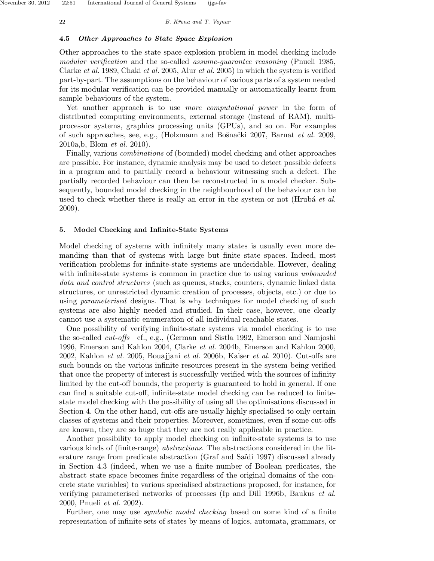## 4.5 Other Approaches to State Space Explosion

Other approaches to the state space explosion problem in model checking include modular verification and the so-called *assume-quarantee reasoning* (Pnueli 1985, Clarke et al. 1989, Chaki et al. 2005, Alur et al. 2005) in which the system is verified part-by-part. The assumptions on the behaviour of various parts of a system needed for its modular verification can be provided manually or automatically learnt from sample behaviours of the system.

Yet another approach is to use more computational power in the form of distributed computing environments, external storage (instead of RAM), multiprocessor systems, graphics processing units (GPUs), and so on. For examples of such approaches, see, e.g., (Holzmann and Bošnački 2007, Barnat et al. 2009, 2010a,b, Blom et al. 2010).

Finally, various combinations of (bounded) model checking and other approaches are possible. For instance, dynamic analysis may be used to detect possible defects in a program and to partially record a behaviour witnessing such a defect. The partially recorded behaviour can then be reconstructed in a model checker. Subsequently, bounded model checking in the neighbourhood of the behaviour can be used to check whether there is really an error in the system or not (Hrubá et al. 2009).

## 5. Model Checking and Infinite-State Systems

Model checking of systems with infinitely many states is usually even more demanding than that of systems with large but finite state spaces. Indeed, most verification problems for infinite-state systems are undecidable. However, dealing with infinite-state systems is common in practice due to using various *unbounded* data and control structures (such as queues, stacks, counters, dynamic linked data structures, or unrestricted dynamic creation of processes, objects, etc.) or due to using *parameterised* designs. That is why techniques for model checking of such systems are also highly needed and studied. In their case, however, one clearly cannot use a systematic enumeration of all individual reachable states.

One possibility of verifying infinite-state systems via model checking is to use the so-called cut-offs—cf., e.g., (German and Sistla 1992, Emerson and Namjoshi 1996, Emerson and Kahlon 2004, Clarke et al. 2004b, Emerson and Kahlon 2000, 2002, Kahlon et al. 2005, Bouajjani et al. 2006b, Kaiser et al. 2010). Cut-offs are such bounds on the various infinite resources present in the system being verified that once the property of interest is successfully verified with the sources of infinity limited by the cut-off bounds, the property is guaranteed to hold in general. If one can find a suitable cut-off, infinite-state model checking can be reduced to finitestate model checking with the possibility of using all the optimisations discussed in Section 4. On the other hand, cut-offs are usually highly specialised to only certain classes of systems and their properties. Moreover, sometimes, even if some cut-offs are known, they are so huge that they are not really applicable in practice.

Another possibility to apply model checking on infinite-state systems is to use various kinds of (finite-range) abstractions. The abstractions considered in the literature range from predicate abstraction (Graf and Saïdi 1997) discussed already in Section 4.3 (indeed, when we use a finite number of Boolean predicates, the abstract state space becomes finite regardless of the original domains of the concrete state variables) to various specialised abstractions proposed, for instance, for verifying parameterised networks of processes (Ip and Dill 1996b, Baukus et al. 2000, Pnueli et al. 2002).

Further, one may use *symbolic model checking* based on some kind of a finite representation of infinite sets of states by means of logics, automata, grammars, or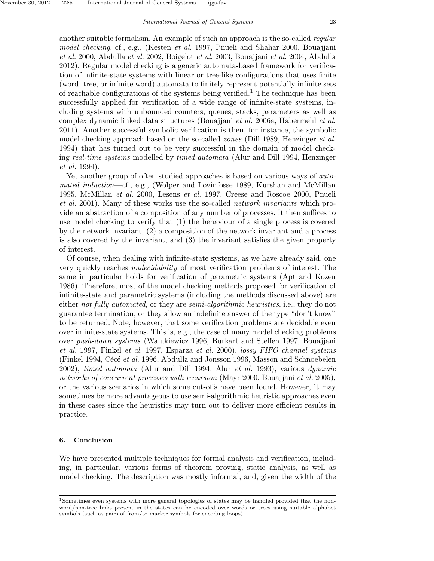another suitable formalism. An example of such an approach is the so-called regular model checking, cf., e.g., (Kesten et al. 1997, Pnueli and Shahar 2000, Bouajjani et al. 2000, Abdulla et al. 2002, Boigelot et al. 2003, Bouajjani et al. 2004, Abdulla 2012). Regular model checking is a generic automata-based framework for verification of infinite-state systems with linear or tree-like configurations that uses finite (word, tree, or infinite word) automata to finitely represent potentially infinite sets of reachable configurations of the systems being verified.<sup>1</sup> The technique has been successfully applied for verification of a wide range of infinite-state systems, including systems with unbounded counters, queues, stacks, parameters as well as complex dynamic linked data structures (Bouajjani et al. 2006a, Habermehl et al. 2011). Another successful symbolic verification is then, for instance, the symbolic model checking approach based on the so-called *zones* (Dill 1989, Henzinger *et al.*) 1994) that has turned out to be very successful in the domain of model checking real-time systems modelled by timed automata (Alur and Dill 1994, Henzinger et al. 1994).

Yet another group of often studied approaches is based on various ways of automated induction—cf., e.g., (Wolper and Lovinfosse 1989, Kurshan and McMillan 1995, McMillan et al. 2000, Lesens et al. 1997, Creese and Roscoe 2000, Pnueli et al. 2001). Many of these works use the so-called network invariants which provide an abstraction of a composition of any number of processes. It then suffices to use model checking to verify that (1) the behaviour of a single process is covered by the network invariant, (2) a composition of the network invariant and a process is also covered by the invariant, and (3) the invariant satisfies the given property of interest.

Of course, when dealing with infinite-state systems, as we have already said, one very quickly reaches undecidability of most verification problems of interest. The same in particular holds for verification of parametric systems (Apt and Kozen 1986). Therefore, most of the model checking methods proposed for verification of infinite-state and parametric systems (including the methods discussed above) are either not fully automated, or they are semi-algorithmic heuristics, i.e., they do not guarantee termination, or they allow an indefinite answer of the type "don't know" to be returned. Note, however, that some verification problems are decidable even over infinite-state systems. This is, e.g., the case of many model checking problems over push-down systems (Walukiewicz 1996, Burkart and Steffen 1997, Bouajjani et al. 1997, Finkel et al. 1997, Esparza et al. 2000), lossy FIFO channel systems (Finkel 1994, Cécé et al. 1996, Abdulla and Jonsson 1996, Masson and Schnoebelen 2002), timed automata (Alur and Dill 1994, Alur et al. 1993), various dynamic networks of concurrent processes with recursion (Mayr 2000, Bouajjani et al. 2005), or the various scenarios in which some cut-offs have been found. However, it may sometimes be more advantageous to use semi-algorithmic heuristic approaches even in these cases since the heuristics may turn out to deliver more efficient results in practice.

## 6. Conclusion

We have presented multiple techniques for formal analysis and verification, including, in particular, various forms of theorem proving, static analysis, as well as model checking. The description was mostly informal, and, given the width of the

<sup>1</sup>Sometimes even systems with more general topologies of states may be handled provided that the nonword/non-tree links present in the states can be encoded over words or trees using suitable alphabet symbols (such as pairs of from/to marker symbols for encoding loops).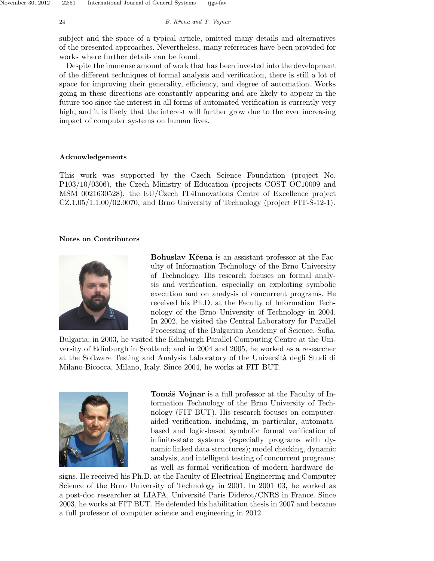subject and the space of a typical article, omitted many details and alternatives of the presented approaches. Nevertheless, many references have been provided for works where further details can be found.

Despite the immense amount of work that has been invested into the development of the different techniques of formal analysis and verification, there is still a lot of space for improving their generality, efficiency, and degree of automation. Works going in these directions are constantly appearing and are likely to appear in the future too since the interest in all forms of automated verification is currently very high, and it is likely that the interest will further grow due to the ever increasing impact of computer systems on human lives.

### Acknowledgements

This work was supported by the Czech Science Foundation (project No. P103/10/0306), the Czech Ministry of Education (projects COST OC10009 and MSM 0021630528), the EU/Czech IT4Innovations Centre of Excellence project CZ.1.05/1.1.00/02.0070, and Brno University of Technology (project FIT-S-12-1).

### Notes on Contributors



Bohuslav Křena is an assistant professor at the Faculty of Information Technology of the Brno University of Technology. His research focuses on formal analysis and verification, especially on exploiting symbolic execution and on analysis of concurrent programs. He received his Ph.D. at the Faculty of Information Technology of the Brno University of Technology in 2004. In 2002, he visited the Central Laboratory for Parallel Processing of the Bulgarian Academy of Science, Sofia,

Bulgaria; in 2003, he visited the Edinburgh Parallel Computing Centre at the University of Edinburgh in Scotland; and in 2004 and 2005, he worked as a researcher at the Software Testing and Analysis Laboratory of the Universit`a degli Studi di Milano-Bicocca, Milano, Italy. Since 2004, he works at FIT BUT.



Tomáš Vojnar is a full professor at the Faculty of Information Technology of the Brno University of Technology (FIT BUT). His research focuses on computeraided verification, including, in particular, automatabased and logic-based symbolic formal verification of infinite-state systems (especially programs with dynamic linked data structures); model checking, dynamic analysis, and intelligent testing of concurrent programs; as well as formal verification of modern hardware de-

signs. He received his Ph.D. at the Faculty of Electrical Engineering and Computer Science of the Brno University of Technology in 2001. In 2001–03, he worked as a post-doc researcher at LIAFA, Université Paris Diderot/CNRS in France. Since 2003, he works at FIT BUT. He defended his habilitation thesis in 2007 and became a full professor of computer science and engineering in 2012.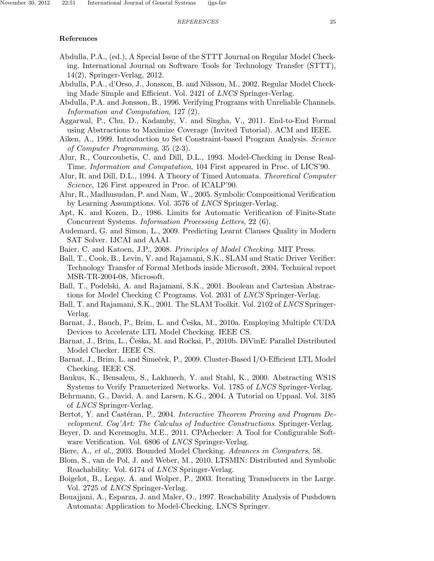### References

- Abdulla, P.A., (ed.), A Special Issue of the STTT Journal on Regular Model Checking. International Journal on Software Tools for Technology Transfer (STTT), 14(2), Springer-Verlag, 2012.
- Abdulla, P.A., d'Orso, J., Jonsson, B. and Nilsson, M., 2002. Regular Model Checking Made Simple and Efficient. Vol. 2421 of LNCS Springer-Verlag.
- Abdulla, P.A. and Jonsson, B., 1996. Verifying Programs with Unreliable Channels. Information and Computation, 127 (2).
- Aggarwal, P., Chu, D., Kadamby, V. and Singha, V., 2011. End-to-End Formal using Abstractions to Maximize Coverage (Invited Tutorial). ACM and IEEE.
- Aiken, A., 1999. Introduction to Set Constraint-based Program Analysis. Science of Computer Programming, 35 (2-3).
- Alur, R., Courcoubetis, C. and Dill, D.L., 1993. Model-Checking in Dense Real-Time. Information and Computation, 104 First appeared in Proc. of LICS'90.
- Alur, R. and Dill, D.L., 1994. A Theory of Timed Automata. Theoretical Computer Science, 126 First appeared in Proc. of ICALP'90.
- Alur, R., Madhusudan, P. and Nam, W., 2005. Symbolic Compositional Verification by Learning Assumptions. Vol. 3576 of LNCS Springer-Verlag.
- Apt, K. and Kozen, D., 1986. Limits for Automatic Verification of Finite-State Concurrent Systems. Information Processing Letters, 22 (6).
- Audemard, G. and Simon, L., 2009. Predicting Learnt Clauses Quality in Modern SAT Solver. IJCAI and AAAI.
- Baier, C. and Katoen, J.P., 2008. Principles of Model Checking. MIT Press.
- Ball, T., Cook, B., Levin, V. and Rajamani, S.K., SLAM and Static Driver Verifier: Technology Transfer of Formal Methods inside Microsoft, 2004, Technical report MSR-TR-2004-08, Microsoft.
- Ball, T., Podelski, A. and Rajamani, S.K., 2001. Boolean and Cartesian Abstractions for Model Checking C Programs. Vol. 2031 of LNCS Springer-Verlag.
- Ball, T. and Rajamani, S.K., 2001. The SLAM Toolkit. Vol. 2102 of LNCS Springer-Verlag.
- Barnat, J., Bauch, P., Brim, L. and Češka, M., 2010a. Employing Multiple CUDA Devices to Accelerate LTL Model Checking. IEEE CS.
- Barnat, J., Brim, L., Ceška, M. and Ročkai, P., 2010b. DiVinE: Parallel Distributed Model Checker. IEEE CS.
- Barnat, J., Brim, L. and Simeček, P., 2009. Cluster-Based I/O-Efficient LTL Model Checking. IEEE CS.
- Baukus, K., Bensalem, S., Lakhnech, Y. and Stahl, K., 2000. Abstracting WS1S Systems to Verify Prameterized Networks. Vol. 1785 of LNCS Springer-Verlag.
- Behrmann, G., David, A. and Larsen, K.G., 2004. A Tutorial on Uppaal. Vol. 3185 of LNCS Springer-Verlag.
- Bertot, Y. and Castéran, P., 2004. Interactive Theorem Proving and Program Development. Coq'Art: The Calculus of Inductive Constructions. Springer-Verlag.
- Beyer, D. and Keremoglu, M.E., 2011. CPAchecker: A Tool for Configurable Software Verification. Vol. 6806 of LNCS Springer-Verlag.
- Biere, A., et al., 2003. Bounded Model Checking. Advances in Computers, 58.
- Blom, S., van de Pol, J. and Weber, M., 2010. LTSMIN: Distributed and Symbolic Reachability. Vol. 6174 of LNCS Springer-Verlag.
- Boigelot, B., Legay, A. and Wolper, P., 2003. Iterating Transducers in the Large. Vol. 2725 of LNCS Springer-Verlag.
- Bouajjani, A., Esparza, J. and Maler, O., 1997. Reachability Analysis of Pushdown Automata: Application to Model-Checking. LNCS Springer.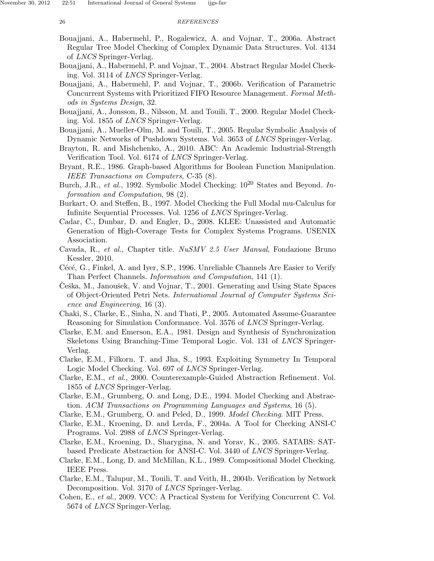- Bouajjani, A., Habermehl, P., Rogalewicz, A. and Vojnar, T., 2006a. Abstract Regular Tree Model Checking of Complex Dynamic Data Structures. Vol. 4134 of LNCS Springer-Verlag.
- Bouajjani, A., Habermehl, P. and Vojnar, T., 2004. Abstract Regular Model Checking. Vol. 3114 of LNCS Springer-Verlag.
- Bouajjani, A., Habermehl, P. and Vojnar, T., 2006b. Verification of Parametric Concurrent Systems with Prioritized FIFO Resource Management. Formal Methods in Systems Design, 32.
- Bouajjani, A., Jonsson, B., Nilsson, M. and Touili, T., 2000. Regular Model Checking. Vol. 1855 of LNCS Springer-Verlag.
- Bouajjani, A., Mueller-Olm, M. and Touili, T., 2005. Regular Symbolic Analysis of Dynamic Networks of Pushdown Systems. Vol. 3653 of LNCS Springer-Verlag.
- Brayton, R. and Mishchenko, A., 2010. ABC: An Academic Industrial-Strength Verification Tool. Vol. 6174 of LNCS Springer-Verlag.
- Bryant, R.E., 1986. Graph-based Algorithms for Boolean Function Manipulation. IEEE Transactions on Computers, C-35 (8).
- Burch, J.R., et al., 1992. Symbolic Model Checking:  $10^{20}$  States and Beyond. Information and Computation, 98 (2).
- Burkart, O. and Steffen, B., 1997. Model Checking the Full Modal mu-Calculus for Infinite Sequential Processes. Vol. 1256 of LNCS Springer-Verlag.
- Cadar, C., Dunbar, D. and Engler, D., 2008. KLEE: Unassisted and Automatic Generation of High-Coverage Tests for Complex Systems Programs. USENIX Association.
- Cavada, R., et al., Chapter title. NuSMV 2.5 User Manual, Fondazione Bruno Kessler, 2010.
- Cécé, G., Finkel, A. and Iyer, S.P., 1996. Unreliable Channels Are Easier to Verify Than Perfect Channels. Information and Computation, 141 (1).
- Ceška, M., Janoušek, V. and Vojnar, T., 2001. Generating and Using State Spaces of Object-Oriented Petri Nets. International Journal of Computer Systems Science and Engineering, 16 (3).
- Chaki, S., Clarke, E., Sinha, N. and Thati, P., 2005. Automated Assume-Guarantee Reasoning for Simulation Conformance. Vol. 3576 of LNCS Springer-Verlag.
- Clarke, E.M. and Emerson, E.A., 1981. Design and Synthesis of Synchronization Skeletons Using Branching-Time Temporal Logic. Vol. 131 of LNCS Springer-Verlag.
- Clarke, E.M., Filkorn, T. and Jha, S., 1993. Exploiting Symmetry In Temporal Logic Model Checking. Vol. 697 of LNCS Springer-Verlag.
- Clarke, E.M., et al., 2000. Counterexample-Guided Abstraction Refinement. Vol. 1855 of LNCS Springer-Verlag.
- Clarke, E.M., Grumberg, O. and Long, D.E., 1994. Model Checking and Abstraction. ACM Transactions on Programming Languages and Systems, 16 (5).
- Clarke, E.M., Grumberg, O. and Peled, D., 1999. Model Checking. MIT Press.
- Clarke, E.M., Kroening, D. and Lerda, F., 2004a. A Tool for Checking ANSI-C Programs. Vol. 2988 of LNCS Springer-Verlag.
- Clarke, E.M., Kroening, D., Sharygina, N. and Yorav, K., 2005. SATABS: SATbased Predicate Abstraction for ANSI-C. Vol. 3440 of LNCS Springer-Verlag.
- Clarke, E.M., Long, D. and McMillan, K.L., 1989. Compositional Model Checking. IEEE Press.
- Clarke, E.M., Talupur, M., Touili, T. and Veith, H., 2004b. Verification by Network Decomposition. Vol. 3170 of *LNCS* Springer-Verlag.
- Cohen, E., et al., 2009. VCC: A Practical System for Verifying Concurrent C. Vol. 5674 of LNCS Springer-Verlag.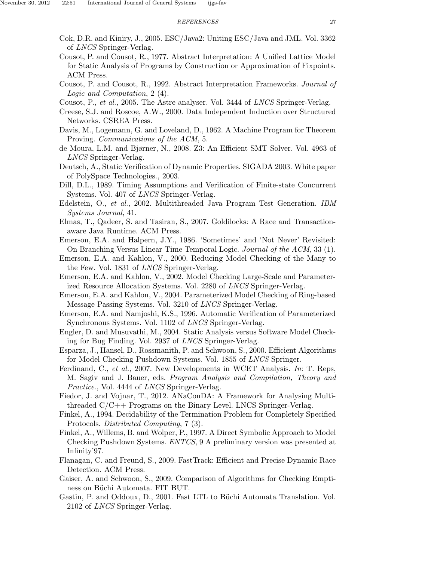- Cok, D.R. and Kiniry, J., 2005. ESC/Java2: Uniting ESC/Java and JML. Vol. 3362 of LNCS Springer-Verlag.
- Cousot, P. and Cousot, R., 1977. Abstract Interpretation: A Unified Lattice Model for Static Analysis of Programs by Construction or Approximation of Fixpoints. ACM Press.
- Cousot, P. and Cousot, R., 1992. Abstract Interpretation Frameworks. Journal of Logic and Computation, 2 (4).
- Cousot, P., et al., 2005. The Astre analyser. Vol. 3444 of LNCS Springer-Verlag.
- Creese, S.J. and Roscoe, A.W., 2000. Data Independent Induction over Structured Networks. CSREA Press.
- Davis, M., Logemann, G. and Loveland, D., 1962. A Machine Program for Theorem Proving. Communications of the ACM, 5.
- de Moura, L.M. and Bjørner, N., 2008. Z3: An Efficient SMT Solver. Vol. 4963 of LNCS Springer-Verlag.
- Deutsch, A., Static Verification of Dynamic Properties. SIGADA 2003. White paper of PolySpace Technologies., 2003.
- Dill, D.L., 1989. Timing Assumptions and Verification of Finite-state Concurrent Systems. Vol. 407 of LNCS Springer-Verlag.
- Edelstein, O., et al., 2002. Multithreaded Java Program Test Generation. IBM Systems Journal, 41.
- Elmas, T., Qadeer, S. and Tasiran, S., 2007. Goldilocks: A Race and Transactionaware Java Runtime. ACM Press.
- Emerson, E.A. and Halpern, J.Y., 1986. 'Sometimes' and 'Not Never' Revisited: On Branching Versus Linear Time Temporal Logic. Journal of the ACM, 33 (1).
- Emerson, E.A. and Kahlon, V., 2000. Reducing Model Checking of the Many to the Few. Vol. 1831 of LNCS Springer-Verlag.
- Emerson, E.A. and Kahlon, V., 2002. Model Checking Large-Scale and Parameterized Resource Allocation Systems. Vol. 2280 of LNCS Springer-Verlag.
- Emerson, E.A. and Kahlon, V., 2004. Parameterized Model Checking of Ring-based Message Passing Systems. Vol. 3210 of LNCS Springer-Verlag.
- Emerson, E.A. and Namjoshi, K.S., 1996. Automatic Verification of Parameterized Synchronous Systems. Vol. 1102 of LNCS Springer-Verlag.
- Engler, D. and Musuvathi, M., 2004. Static Analysis versus Software Model Checking for Bug Finding. Vol. 2937 of LNCS Springer-Verlag.
- Esparza, J., Hansel, D., Rossmanith, P. and Schwoon, S., 2000. Efficient Algorithms for Model Checking Pushdown Systems. Vol. 1855 of LNCS Springer.
- Ferdinand, C., *et al.*, 2007. New Developments in WCET Analysis. In: T. Reps, M. Sagiv and J. Bauer, eds. Program Analysis and Compilation, Theory and Practice., Vol. 4444 of LNCS Springer-Verlag.
- Fiedor, J. and Vojnar, T., 2012. ANaConDA: A Framework for Analysing Multithreaded C/C++ Programs on the Binary Level. LNCS Springer-Verlag.
- Finkel, A., 1994. Decidability of the Termination Problem for Completely Specified Protocols. Distributed Computing, 7 (3).
- Finkel, A., Willems, B. and Wolper, P., 1997. A Direct Symbolic Approach to Model Checking Pushdown Systems. ENTCS, 9 A preliminary version was presented at Infinity'97.
- Flanagan, C. and Freund, S., 2009. FastTrack: Efficient and Precise Dynamic Race Detection. ACM Press.
- Gaiser, A. and Schwoon, S., 2009. Comparison of Algorithms for Checking Emptiness on Büchi Automata. FIT BUT.
- Gastin, P. and Oddoux, D., 2001. Fast LTL to Büchi Automata Translation. Vol. 2102 of LNCS Springer-Verlag.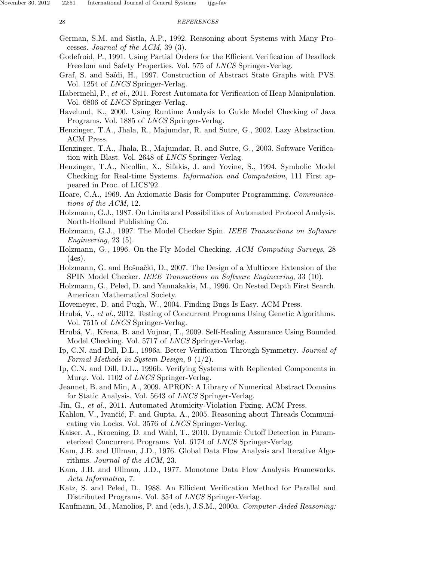- German, S.M. and Sistla, A.P., 1992. Reasoning about Systems with Many Processes. Journal of the ACM, 39 (3).
- Godefroid, P., 1991. Using Partial Orders for the Efficient Verification of Deadlock Freedom and Safety Properties. Vol. 575 of LNCS Springer-Verlag.
- Graf, S. and Sa¨ıdi, H., 1997. Construction of Abstract State Graphs with PVS. Vol. 1254 of LNCS Springer-Verlag.
- Habermehl, P., et al., 2011. Forest Automata for Verification of Heap Manipulation. Vol. 6806 of LNCS Springer-Verlag.
- Havelund, K., 2000. Using Runtime Analysis to Guide Model Checking of Java Programs. Vol. 1885 of LNCS Springer-Verlag.
- Henzinger, T.A., Jhala, R., Majumdar, R. and Sutre, G., 2002. Lazy Abstraction. ACM Press.
- Henzinger, T.A., Jhala, R., Majumdar, R. and Sutre, G., 2003. Software Verification with Blast. Vol. 2648 of LNCS Springer-Verlag.
- Henzinger, T.A., Nicollin, X., Sifakis, J. and Yovine, S., 1994. Symbolic Model Checking for Real-time Systems. Information and Computation, 111 First appeared in Proc. of LICS'92.
- Hoare, C.A., 1969. An Axiomatic Basis for Computer Programming. Communications of the ACM, 12.
- Holzmann, G.J., 1987. On Limits and Possibilities of Automated Protocol Analysis. North-Holland Publishing Co.
- Holzmann, G.J., 1997. The Model Checker Spin. IEEE Transactions on Software Engineering, 23 (5).
- Holzmann, G., 1996. On-the-Fly Model Checking. ACM Computing Surveys, 28 (4es).
- Holzmann, G. and Bošnački, D., 2007. The Design of a Multicore Extension of the SPIN Model Checker. IEEE Transactions on Software Engineering, 33 (10).
- Holzmann, G., Peled, D. and Yannakakis, M., 1996. On Nested Depth First Search. American Mathematical Society.
- Hovemeyer, D. and Pugh, W., 2004. Finding Bugs Is Easy. ACM Press.
- Hrubá, V., et al., 2012. Testing of Concurrent Programs Using Genetic Algorithms. Vol. 7515 of LNCS Springer-Verlag.
- Hrubá, V., Křena, B. and Vojnar, T., 2009. Self-Healing Assurance Using Bounded Model Checking. Vol. 5717 of LNCS Springer-Verlag.
- Ip, C.N. and Dill, D.L., 1996a. Better Verification Through Symmetry. Journal of Formal Methods in System Design, 9 (1/2).
- Ip, C.N. and Dill, D.L., 1996b. Verifying Systems with Replicated Components in Mur $\varphi$ . Vol. 1102 of *LNCS* Springer-Verlag.
- Jeannet, B. and Min, A., 2009. APRON: A Library of Numerical Abstract Domains for Static Analysis. Vol. 5643 of LNCS Springer-Verlag.
- Jin, G., et al., 2011. Automated Atomicity-Violation Fixing. ACM Press.
- Kahlon, V., Ivančić, F. and Gupta, A., 2005. Reasoning about Threads Communicating via Locks. Vol. 3576 of LNCS Springer-Verlag.
- Kaiser, A., Kroening, D. and Wahl, T., 2010. Dynamic Cutoff Detection in Parameterized Concurrent Programs. Vol. 6174 of LNCS Springer-Verlag.
- Kam, J.B. and Ullman, J.D., 1976. Global Data Flow Analysis and Iterative Algorithms. Journal of the ACM, 23.
- Kam, J.B. and Ullman, J.D., 1977. Monotone Data Flow Analysis Frameworks. Acta Informatica, 7.
- Katz, S. and Peled, D., 1988. An Efficient Verification Method for Parallel and Distributed Programs. Vol. 354 of LNCS Springer-Verlag.
- Kaufmann, M., Manolios, P. and (eds.), J.S.M., 2000a. Computer-Aided Reasoning: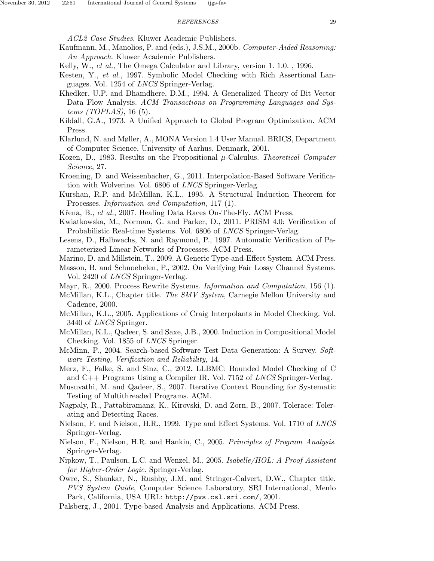ACL2 Case Studies. Kluwer Academic Publishers.

- Kaufmann, M., Manolios, P. and (eds.), J.S.M., 2000b. Computer-Aided Reasoning: An Approach. Kluwer Academic Publishers.
- Kelly, W., et al., The Omega Calculator and Library, version 1. 1.0. , 1996.
- Kesten, Y., et al., 1997. Symbolic Model Checking with Rich Assertional Languages. Vol. 1254 of LNCS Springer-Verlag.
- Khedker, U.P. and Dhamdhere, D.M., 1994. A Generalized Theory of Bit Vector Data Flow Analysis. ACM Transactions on Programming Languages and Systems (TOPLAS), 16 (5).
- Kildall, G.A., 1973. A Unified Approach to Global Program Optimization. ACM Press.
- Klarlund, N. and Møller, A., MONA Version 1.4 User Manual. BRICS, Department of Computer Science, University of Aarhus, Denmark, 2001.
- Kozen, D., 1983. Results on the Propositional  $\mu$ -Calculus. Theoretical Computer Science, 27.
- Kroening, D. and Weissenbacher, G., 2011. Interpolation-Based Software Verification with Wolverine. Vol. 6806 of LNCS Springer-Verlag.
- Kurshan, R.P. and McMillan, K.L., 1995. A Structural Induction Theorem for Processes. Information and Computation, 117 (1).
- Křena, B., et al., 2007. Healing Data Races On-The-Fly. ACM Press.
- Kwiatkowska, M., Norman, G. and Parker, D., 2011. PRISM 4.0: Verification of Probabilistic Real-time Systems. Vol. 6806 of LNCS Springer-Verlag.
- Lesens, D., Halbwachs, N. and Raymond, P., 1997. Automatic Verification of Parameterized Linear Networks of Processes. ACM Press.
- Marino, D. and Millstein, T., 2009. A Generic Type-and-Effect System. ACM Press.
- Masson, B. and Schnoebelen, P., 2002. On Verifying Fair Lossy Channel Systems. Vol. 2420 of LNCS Springer-Verlag.
- Mayr, R., 2000. Process Rewrite Systems. Information and Computation, 156 (1).
- McMillan, K.L., Chapter title. The SMV System, Carnegie Mellon University and Cadence, 2000.
- McMillan, K.L., 2005. Applications of Craig Interpolants in Model Checking. Vol. 3440 of LNCS Springer.
- McMillan, K.L., Qadeer, S. and Saxe, J.B., 2000. Induction in Compositional Model Checking. Vol. 1855 of LNCS Springer.
- McMinn, P., 2004. Search-based Software Test Data Generation: A Survey. Software Testing, Verification and Reliability, 14.
- Merz, F., Falke, S. and Sinz, C., 2012. LLBMC: Bounded Model Checking of C and C++ Programs Using a Compiler IR. Vol. 7152 of LNCS Springer-Verlag.
- Musuvathi, M. and Qadeer, S., 2007. Iterative Context Bounding for Systematic Testing of Multithreaded Programs. ACM.
- Nagpaly, R., Pattabiramanz, K., Kirovski, D. and Zorn, B., 2007. Tolerace: Tolerating and Detecting Races.
- Nielson, F. and Nielson, H.R., 1999. Type and Effect Systems. Vol. 1710 of LNCS Springer-Verlag.
- Nielson, F., Nielson, H.R. and Hankin, C., 2005. Principles of Program Analysis. Springer-Verlag.
- Nipkow, T., Paulson, L.C. and Wenzel, M., 2005. Isabelle/HOL: A Proof Assistant for Higher-Order Logic. Springer-Verlag.
- Owre, S., Shankar, N., Rushby, J.M. and Stringer-Calvert, D.W., Chapter title. PVS System Guide, Computer Science Laboratory, SRI International, Menlo Park, California, USA URL: http://pvs.csl.sri.com/, 2001.
- Palsberg, J., 2001. Type-based Analysis and Applications. ACM Press.